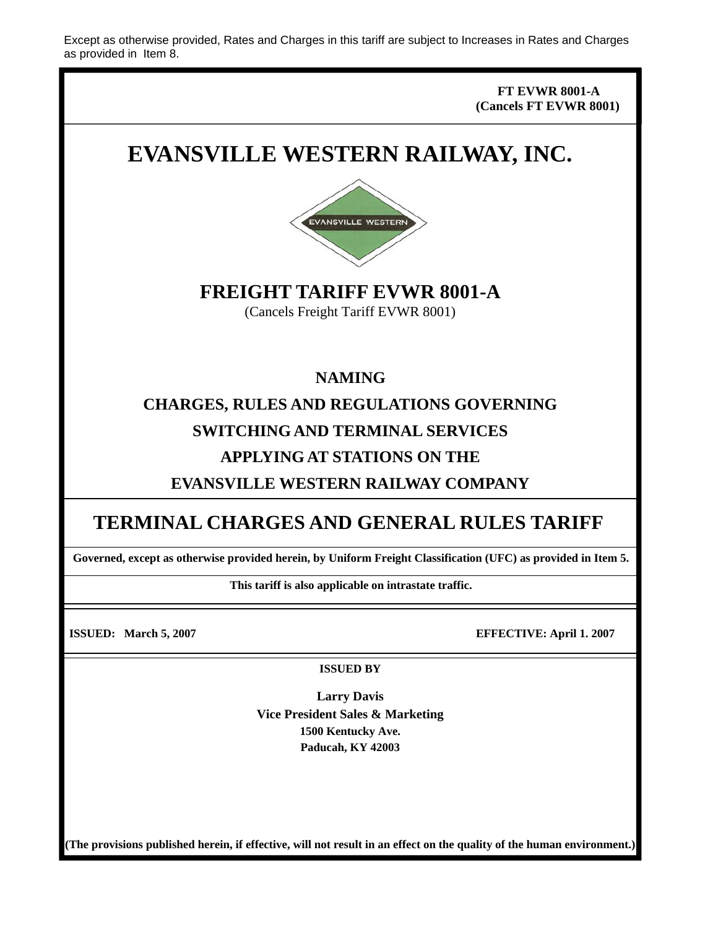Except as otherwise provided, Rates and Charges in this tariff are subject to Increases in Rates and Charges as provided in Item 8.

> **FT EVWR 8001-A (Cancels FT EVWR 8001)**

# **EVANSVILLE WESTERN RAILWAY, INC.**



**FREIGHT TARIFF EVWR 8001-A** 

(Cancels Freight Tariff EVWR 8001)

**NAMING** 

**CHARGES, RULES AND REGULATIONS GOVERNING SWITCHING AND TERMINAL SERVICES APPLYING AT STATIONS ON THE** 

**EVANSVILLE WESTERN RAILWAY COMPANY** 

## **TERMINAL CHARGES AND GENERAL RULES TARIFF**

**Governed, except as otherwise provided herein, by Uniform Freight Classification (UFC) as provided in Item 5.** 

**This tariff is also applicable on intrastate traffic.** 

**ISSUED: March 5, 2007 EFFECTIVE: April 1. 2007** 

**ISSUED BY** 

**Larry Davis Vice President Sales & Marketing 1500 Kentucky Ave. Paducah, KY 42003** 

**(The provisions published herein, if effective, will not result in an effect on the quality of the human environment.)**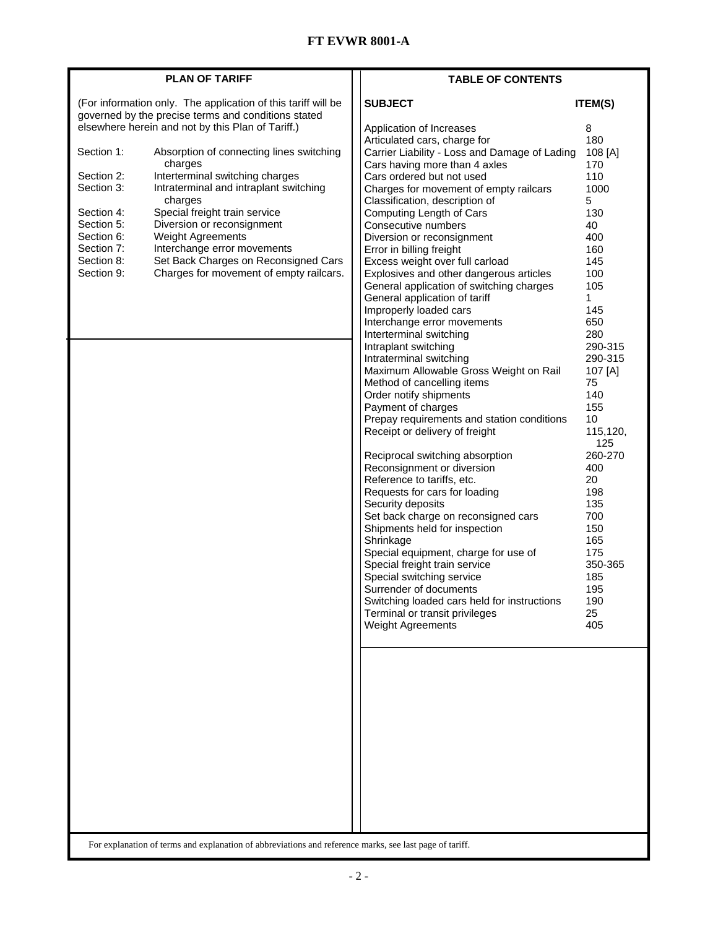| (For information only. The application of this tariff will be<br><b>SUBJECT</b><br><b>ITEM(S)</b><br>governed by the precise terms and conditions stated<br>elsewhere herein and not by this Plan of Tariff.)<br>Application of Increases<br>8<br>Articulated cars, charge for<br>180<br>Absorption of connecting lines switching<br>Carrier Liability - Loss and Damage of Lading<br>108 [A]<br>charges<br>Cars having more than 4 axles<br>170<br>Interterminal switching charges<br>110<br>Cars ordered but not used<br>Intraterminal and intraplant switching<br>Charges for movement of empty railcars<br>1000<br>charges<br>Classification, description of<br>5<br>Special freight train service<br>Computing Length of Cars<br>130<br>Diversion or reconsignment<br>Consecutive numbers<br>40<br><b>Weight Agreements</b><br>400<br>Diversion or reconsignment<br>Interchange error movements<br>Error in billing freight<br>160<br>Set Back Charges on Reconsigned Cars<br>Excess weight over full carload<br>145<br>Charges for movement of empty railcars.<br>Section 9:<br>Explosives and other dangerous articles<br>100<br>General application of switching charges<br>105<br>General application of tariff<br>1<br>145<br>Improperly loaded cars<br>Interchange error movements<br>650<br>280<br>Interterminal switching<br>290-315<br>Intraplant switching<br>Intraterminal switching<br>290-315<br>Maximum Allowable Gross Weight on Rail<br>107 [A]<br>Method of cancelling items<br>75<br>Order notify shipments<br>140<br>Payment of charges<br>155<br>Prepay requirements and station conditions<br>10<br>Receipt or delivery of freight<br>115,120,<br>125<br>260-270<br>Reciprocal switching absorption<br>Reconsignment or diversion<br>400<br>20<br>Reference to tariffs, etc.<br>198<br>Requests for cars for loading<br>Security deposits<br>135<br>Set back charge on reconsigned cars<br>700<br>Shipments held for inspection<br>150<br>Shrinkage<br>165<br>Special equipment, charge for use of<br>175<br>Special freight train service<br>350-365<br>Special switching service<br>185<br>Surrender of documents<br>195<br>Switching loaded cars held for instructions<br>190<br>Terminal or transit privileges<br>25<br>405<br>Weight Agreements |            | <b>PLAN OF TARIFF</b> | <b>TABLE OF CONTENTS</b> |  |
|--------------------------------------------------------------------------------------------------------------------------------------------------------------------------------------------------------------------------------------------------------------------------------------------------------------------------------------------------------------------------------------------------------------------------------------------------------------------------------------------------------------------------------------------------------------------------------------------------------------------------------------------------------------------------------------------------------------------------------------------------------------------------------------------------------------------------------------------------------------------------------------------------------------------------------------------------------------------------------------------------------------------------------------------------------------------------------------------------------------------------------------------------------------------------------------------------------------------------------------------------------------------------------------------------------------------------------------------------------------------------------------------------------------------------------------------------------------------------------------------------------------------------------------------------------------------------------------------------------------------------------------------------------------------------------------------------------------------------------------------------------------------------------------------------------------------------------------------------------------------------------------------------------------------------------------------------------------------------------------------------------------------------------------------------------------------------------------------------------------------------------------------------------------------------------------------------------------------------------------------------------------------------------|------------|-----------------------|--------------------------|--|
|                                                                                                                                                                                                                                                                                                                                                                                                                                                                                                                                                                                                                                                                                                                                                                                                                                                                                                                                                                                                                                                                                                                                                                                                                                                                                                                                                                                                                                                                                                                                                                                                                                                                                                                                                                                                                                                                                                                                                                                                                                                                                                                                                                                                                                                                                |            |                       |                          |  |
|                                                                                                                                                                                                                                                                                                                                                                                                                                                                                                                                                                                                                                                                                                                                                                                                                                                                                                                                                                                                                                                                                                                                                                                                                                                                                                                                                                                                                                                                                                                                                                                                                                                                                                                                                                                                                                                                                                                                                                                                                                                                                                                                                                                                                                                                                |            |                       |                          |  |
|                                                                                                                                                                                                                                                                                                                                                                                                                                                                                                                                                                                                                                                                                                                                                                                                                                                                                                                                                                                                                                                                                                                                                                                                                                                                                                                                                                                                                                                                                                                                                                                                                                                                                                                                                                                                                                                                                                                                                                                                                                                                                                                                                                                                                                                                                |            |                       |                          |  |
|                                                                                                                                                                                                                                                                                                                                                                                                                                                                                                                                                                                                                                                                                                                                                                                                                                                                                                                                                                                                                                                                                                                                                                                                                                                                                                                                                                                                                                                                                                                                                                                                                                                                                                                                                                                                                                                                                                                                                                                                                                                                                                                                                                                                                                                                                |            |                       |                          |  |
|                                                                                                                                                                                                                                                                                                                                                                                                                                                                                                                                                                                                                                                                                                                                                                                                                                                                                                                                                                                                                                                                                                                                                                                                                                                                                                                                                                                                                                                                                                                                                                                                                                                                                                                                                                                                                                                                                                                                                                                                                                                                                                                                                                                                                                                                                | Section 1: |                       |                          |  |
|                                                                                                                                                                                                                                                                                                                                                                                                                                                                                                                                                                                                                                                                                                                                                                                                                                                                                                                                                                                                                                                                                                                                                                                                                                                                                                                                                                                                                                                                                                                                                                                                                                                                                                                                                                                                                                                                                                                                                                                                                                                                                                                                                                                                                                                                                |            |                       |                          |  |
|                                                                                                                                                                                                                                                                                                                                                                                                                                                                                                                                                                                                                                                                                                                                                                                                                                                                                                                                                                                                                                                                                                                                                                                                                                                                                                                                                                                                                                                                                                                                                                                                                                                                                                                                                                                                                                                                                                                                                                                                                                                                                                                                                                                                                                                                                | Section 2: |                       |                          |  |
|                                                                                                                                                                                                                                                                                                                                                                                                                                                                                                                                                                                                                                                                                                                                                                                                                                                                                                                                                                                                                                                                                                                                                                                                                                                                                                                                                                                                                                                                                                                                                                                                                                                                                                                                                                                                                                                                                                                                                                                                                                                                                                                                                                                                                                                                                | Section 3: |                       |                          |  |
|                                                                                                                                                                                                                                                                                                                                                                                                                                                                                                                                                                                                                                                                                                                                                                                                                                                                                                                                                                                                                                                                                                                                                                                                                                                                                                                                                                                                                                                                                                                                                                                                                                                                                                                                                                                                                                                                                                                                                                                                                                                                                                                                                                                                                                                                                |            |                       |                          |  |
|                                                                                                                                                                                                                                                                                                                                                                                                                                                                                                                                                                                                                                                                                                                                                                                                                                                                                                                                                                                                                                                                                                                                                                                                                                                                                                                                                                                                                                                                                                                                                                                                                                                                                                                                                                                                                                                                                                                                                                                                                                                                                                                                                                                                                                                                                | Section 4: |                       |                          |  |
|                                                                                                                                                                                                                                                                                                                                                                                                                                                                                                                                                                                                                                                                                                                                                                                                                                                                                                                                                                                                                                                                                                                                                                                                                                                                                                                                                                                                                                                                                                                                                                                                                                                                                                                                                                                                                                                                                                                                                                                                                                                                                                                                                                                                                                                                                | Section 5: |                       |                          |  |
|                                                                                                                                                                                                                                                                                                                                                                                                                                                                                                                                                                                                                                                                                                                                                                                                                                                                                                                                                                                                                                                                                                                                                                                                                                                                                                                                                                                                                                                                                                                                                                                                                                                                                                                                                                                                                                                                                                                                                                                                                                                                                                                                                                                                                                                                                | Section 6: |                       |                          |  |
|                                                                                                                                                                                                                                                                                                                                                                                                                                                                                                                                                                                                                                                                                                                                                                                                                                                                                                                                                                                                                                                                                                                                                                                                                                                                                                                                                                                                                                                                                                                                                                                                                                                                                                                                                                                                                                                                                                                                                                                                                                                                                                                                                                                                                                                                                | Section 7: |                       |                          |  |
|                                                                                                                                                                                                                                                                                                                                                                                                                                                                                                                                                                                                                                                                                                                                                                                                                                                                                                                                                                                                                                                                                                                                                                                                                                                                                                                                                                                                                                                                                                                                                                                                                                                                                                                                                                                                                                                                                                                                                                                                                                                                                                                                                                                                                                                                                | Section 8: |                       |                          |  |
|                                                                                                                                                                                                                                                                                                                                                                                                                                                                                                                                                                                                                                                                                                                                                                                                                                                                                                                                                                                                                                                                                                                                                                                                                                                                                                                                                                                                                                                                                                                                                                                                                                                                                                                                                                                                                                                                                                                                                                                                                                                                                                                                                                                                                                                                                |            |                       |                          |  |
|                                                                                                                                                                                                                                                                                                                                                                                                                                                                                                                                                                                                                                                                                                                                                                                                                                                                                                                                                                                                                                                                                                                                                                                                                                                                                                                                                                                                                                                                                                                                                                                                                                                                                                                                                                                                                                                                                                                                                                                                                                                                                                                                                                                                                                                                                |            |                       |                          |  |
|                                                                                                                                                                                                                                                                                                                                                                                                                                                                                                                                                                                                                                                                                                                                                                                                                                                                                                                                                                                                                                                                                                                                                                                                                                                                                                                                                                                                                                                                                                                                                                                                                                                                                                                                                                                                                                                                                                                                                                                                                                                                                                                                                                                                                                                                                |            |                       |                          |  |
|                                                                                                                                                                                                                                                                                                                                                                                                                                                                                                                                                                                                                                                                                                                                                                                                                                                                                                                                                                                                                                                                                                                                                                                                                                                                                                                                                                                                                                                                                                                                                                                                                                                                                                                                                                                                                                                                                                                                                                                                                                                                                                                                                                                                                                                                                |            |                       |                          |  |
|                                                                                                                                                                                                                                                                                                                                                                                                                                                                                                                                                                                                                                                                                                                                                                                                                                                                                                                                                                                                                                                                                                                                                                                                                                                                                                                                                                                                                                                                                                                                                                                                                                                                                                                                                                                                                                                                                                                                                                                                                                                                                                                                                                                                                                                                                |            |                       |                          |  |
|                                                                                                                                                                                                                                                                                                                                                                                                                                                                                                                                                                                                                                                                                                                                                                                                                                                                                                                                                                                                                                                                                                                                                                                                                                                                                                                                                                                                                                                                                                                                                                                                                                                                                                                                                                                                                                                                                                                                                                                                                                                                                                                                                                                                                                                                                |            |                       |                          |  |
|                                                                                                                                                                                                                                                                                                                                                                                                                                                                                                                                                                                                                                                                                                                                                                                                                                                                                                                                                                                                                                                                                                                                                                                                                                                                                                                                                                                                                                                                                                                                                                                                                                                                                                                                                                                                                                                                                                                                                                                                                                                                                                                                                                                                                                                                                |            |                       |                          |  |
|                                                                                                                                                                                                                                                                                                                                                                                                                                                                                                                                                                                                                                                                                                                                                                                                                                                                                                                                                                                                                                                                                                                                                                                                                                                                                                                                                                                                                                                                                                                                                                                                                                                                                                                                                                                                                                                                                                                                                                                                                                                                                                                                                                                                                                                                                |            |                       |                          |  |
|                                                                                                                                                                                                                                                                                                                                                                                                                                                                                                                                                                                                                                                                                                                                                                                                                                                                                                                                                                                                                                                                                                                                                                                                                                                                                                                                                                                                                                                                                                                                                                                                                                                                                                                                                                                                                                                                                                                                                                                                                                                                                                                                                                                                                                                                                |            |                       |                          |  |
|                                                                                                                                                                                                                                                                                                                                                                                                                                                                                                                                                                                                                                                                                                                                                                                                                                                                                                                                                                                                                                                                                                                                                                                                                                                                                                                                                                                                                                                                                                                                                                                                                                                                                                                                                                                                                                                                                                                                                                                                                                                                                                                                                                                                                                                                                |            |                       |                          |  |
|                                                                                                                                                                                                                                                                                                                                                                                                                                                                                                                                                                                                                                                                                                                                                                                                                                                                                                                                                                                                                                                                                                                                                                                                                                                                                                                                                                                                                                                                                                                                                                                                                                                                                                                                                                                                                                                                                                                                                                                                                                                                                                                                                                                                                                                                                |            |                       |                          |  |
|                                                                                                                                                                                                                                                                                                                                                                                                                                                                                                                                                                                                                                                                                                                                                                                                                                                                                                                                                                                                                                                                                                                                                                                                                                                                                                                                                                                                                                                                                                                                                                                                                                                                                                                                                                                                                                                                                                                                                                                                                                                                                                                                                                                                                                                                                |            |                       |                          |  |
|                                                                                                                                                                                                                                                                                                                                                                                                                                                                                                                                                                                                                                                                                                                                                                                                                                                                                                                                                                                                                                                                                                                                                                                                                                                                                                                                                                                                                                                                                                                                                                                                                                                                                                                                                                                                                                                                                                                                                                                                                                                                                                                                                                                                                                                                                |            |                       |                          |  |
|                                                                                                                                                                                                                                                                                                                                                                                                                                                                                                                                                                                                                                                                                                                                                                                                                                                                                                                                                                                                                                                                                                                                                                                                                                                                                                                                                                                                                                                                                                                                                                                                                                                                                                                                                                                                                                                                                                                                                                                                                                                                                                                                                                                                                                                                                |            |                       |                          |  |
|                                                                                                                                                                                                                                                                                                                                                                                                                                                                                                                                                                                                                                                                                                                                                                                                                                                                                                                                                                                                                                                                                                                                                                                                                                                                                                                                                                                                                                                                                                                                                                                                                                                                                                                                                                                                                                                                                                                                                                                                                                                                                                                                                                                                                                                                                |            |                       |                          |  |
|                                                                                                                                                                                                                                                                                                                                                                                                                                                                                                                                                                                                                                                                                                                                                                                                                                                                                                                                                                                                                                                                                                                                                                                                                                                                                                                                                                                                                                                                                                                                                                                                                                                                                                                                                                                                                                                                                                                                                                                                                                                                                                                                                                                                                                                                                |            |                       |                          |  |
|                                                                                                                                                                                                                                                                                                                                                                                                                                                                                                                                                                                                                                                                                                                                                                                                                                                                                                                                                                                                                                                                                                                                                                                                                                                                                                                                                                                                                                                                                                                                                                                                                                                                                                                                                                                                                                                                                                                                                                                                                                                                                                                                                                                                                                                                                |            |                       |                          |  |
|                                                                                                                                                                                                                                                                                                                                                                                                                                                                                                                                                                                                                                                                                                                                                                                                                                                                                                                                                                                                                                                                                                                                                                                                                                                                                                                                                                                                                                                                                                                                                                                                                                                                                                                                                                                                                                                                                                                                                                                                                                                                                                                                                                                                                                                                                |            |                       |                          |  |
|                                                                                                                                                                                                                                                                                                                                                                                                                                                                                                                                                                                                                                                                                                                                                                                                                                                                                                                                                                                                                                                                                                                                                                                                                                                                                                                                                                                                                                                                                                                                                                                                                                                                                                                                                                                                                                                                                                                                                                                                                                                                                                                                                                                                                                                                                |            |                       |                          |  |
|                                                                                                                                                                                                                                                                                                                                                                                                                                                                                                                                                                                                                                                                                                                                                                                                                                                                                                                                                                                                                                                                                                                                                                                                                                                                                                                                                                                                                                                                                                                                                                                                                                                                                                                                                                                                                                                                                                                                                                                                                                                                                                                                                                                                                                                                                |            |                       |                          |  |
|                                                                                                                                                                                                                                                                                                                                                                                                                                                                                                                                                                                                                                                                                                                                                                                                                                                                                                                                                                                                                                                                                                                                                                                                                                                                                                                                                                                                                                                                                                                                                                                                                                                                                                                                                                                                                                                                                                                                                                                                                                                                                                                                                                                                                                                                                |            |                       |                          |  |
|                                                                                                                                                                                                                                                                                                                                                                                                                                                                                                                                                                                                                                                                                                                                                                                                                                                                                                                                                                                                                                                                                                                                                                                                                                                                                                                                                                                                                                                                                                                                                                                                                                                                                                                                                                                                                                                                                                                                                                                                                                                                                                                                                                                                                                                                                |            |                       |                          |  |
|                                                                                                                                                                                                                                                                                                                                                                                                                                                                                                                                                                                                                                                                                                                                                                                                                                                                                                                                                                                                                                                                                                                                                                                                                                                                                                                                                                                                                                                                                                                                                                                                                                                                                                                                                                                                                                                                                                                                                                                                                                                                                                                                                                                                                                                                                |            |                       |                          |  |
|                                                                                                                                                                                                                                                                                                                                                                                                                                                                                                                                                                                                                                                                                                                                                                                                                                                                                                                                                                                                                                                                                                                                                                                                                                                                                                                                                                                                                                                                                                                                                                                                                                                                                                                                                                                                                                                                                                                                                                                                                                                                                                                                                                                                                                                                                |            |                       |                          |  |
|                                                                                                                                                                                                                                                                                                                                                                                                                                                                                                                                                                                                                                                                                                                                                                                                                                                                                                                                                                                                                                                                                                                                                                                                                                                                                                                                                                                                                                                                                                                                                                                                                                                                                                                                                                                                                                                                                                                                                                                                                                                                                                                                                                                                                                                                                |            |                       |                          |  |
|                                                                                                                                                                                                                                                                                                                                                                                                                                                                                                                                                                                                                                                                                                                                                                                                                                                                                                                                                                                                                                                                                                                                                                                                                                                                                                                                                                                                                                                                                                                                                                                                                                                                                                                                                                                                                                                                                                                                                                                                                                                                                                                                                                                                                                                                                |            |                       |                          |  |
|                                                                                                                                                                                                                                                                                                                                                                                                                                                                                                                                                                                                                                                                                                                                                                                                                                                                                                                                                                                                                                                                                                                                                                                                                                                                                                                                                                                                                                                                                                                                                                                                                                                                                                                                                                                                                                                                                                                                                                                                                                                                                                                                                                                                                                                                                |            |                       |                          |  |
|                                                                                                                                                                                                                                                                                                                                                                                                                                                                                                                                                                                                                                                                                                                                                                                                                                                                                                                                                                                                                                                                                                                                                                                                                                                                                                                                                                                                                                                                                                                                                                                                                                                                                                                                                                                                                                                                                                                                                                                                                                                                                                                                                                                                                                                                                |            |                       |                          |  |
|                                                                                                                                                                                                                                                                                                                                                                                                                                                                                                                                                                                                                                                                                                                                                                                                                                                                                                                                                                                                                                                                                                                                                                                                                                                                                                                                                                                                                                                                                                                                                                                                                                                                                                                                                                                                                                                                                                                                                                                                                                                                                                                                                                                                                                                                                |            |                       |                          |  |
|                                                                                                                                                                                                                                                                                                                                                                                                                                                                                                                                                                                                                                                                                                                                                                                                                                                                                                                                                                                                                                                                                                                                                                                                                                                                                                                                                                                                                                                                                                                                                                                                                                                                                                                                                                                                                                                                                                                                                                                                                                                                                                                                                                                                                                                                                |            |                       |                          |  |
|                                                                                                                                                                                                                                                                                                                                                                                                                                                                                                                                                                                                                                                                                                                                                                                                                                                                                                                                                                                                                                                                                                                                                                                                                                                                                                                                                                                                                                                                                                                                                                                                                                                                                                                                                                                                                                                                                                                                                                                                                                                                                                                                                                                                                                                                                |            |                       |                          |  |
|                                                                                                                                                                                                                                                                                                                                                                                                                                                                                                                                                                                                                                                                                                                                                                                                                                                                                                                                                                                                                                                                                                                                                                                                                                                                                                                                                                                                                                                                                                                                                                                                                                                                                                                                                                                                                                                                                                                                                                                                                                                                                                                                                                                                                                                                                |            |                       |                          |  |
|                                                                                                                                                                                                                                                                                                                                                                                                                                                                                                                                                                                                                                                                                                                                                                                                                                                                                                                                                                                                                                                                                                                                                                                                                                                                                                                                                                                                                                                                                                                                                                                                                                                                                                                                                                                                                                                                                                                                                                                                                                                                                                                                                                                                                                                                                |            |                       |                          |  |
|                                                                                                                                                                                                                                                                                                                                                                                                                                                                                                                                                                                                                                                                                                                                                                                                                                                                                                                                                                                                                                                                                                                                                                                                                                                                                                                                                                                                                                                                                                                                                                                                                                                                                                                                                                                                                                                                                                                                                                                                                                                                                                                                                                                                                                                                                |            |                       |                          |  |
|                                                                                                                                                                                                                                                                                                                                                                                                                                                                                                                                                                                                                                                                                                                                                                                                                                                                                                                                                                                                                                                                                                                                                                                                                                                                                                                                                                                                                                                                                                                                                                                                                                                                                                                                                                                                                                                                                                                                                                                                                                                                                                                                                                                                                                                                                |            |                       |                          |  |
|                                                                                                                                                                                                                                                                                                                                                                                                                                                                                                                                                                                                                                                                                                                                                                                                                                                                                                                                                                                                                                                                                                                                                                                                                                                                                                                                                                                                                                                                                                                                                                                                                                                                                                                                                                                                                                                                                                                                                                                                                                                                                                                                                                                                                                                                                |            |                       |                          |  |
|                                                                                                                                                                                                                                                                                                                                                                                                                                                                                                                                                                                                                                                                                                                                                                                                                                                                                                                                                                                                                                                                                                                                                                                                                                                                                                                                                                                                                                                                                                                                                                                                                                                                                                                                                                                                                                                                                                                                                                                                                                                                                                                                                                                                                                                                                |            |                       |                          |  |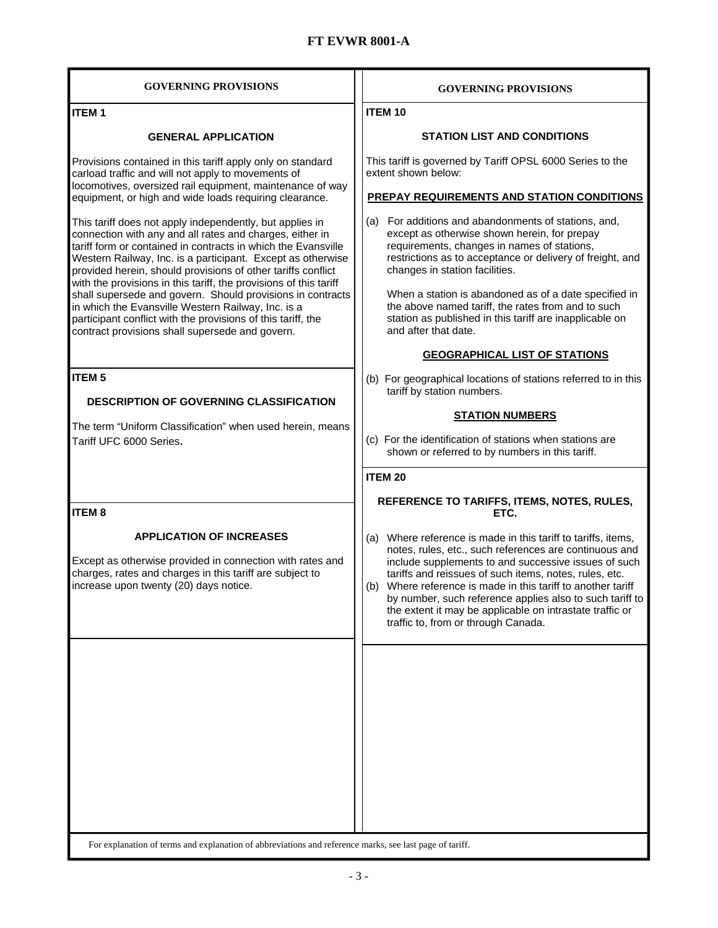| <b>GOVERNING PROVISIONS</b>                                                                                                                                                                                                                                                                                                                                                                                                                                                                                                                                                                                                                                                                                                                                                                                                                                                 | <b>GOVERNING PROVISIONS</b>                                                                                                                                                                                                                                                                                                                                                                                                                                                                                                                                                                   |
|-----------------------------------------------------------------------------------------------------------------------------------------------------------------------------------------------------------------------------------------------------------------------------------------------------------------------------------------------------------------------------------------------------------------------------------------------------------------------------------------------------------------------------------------------------------------------------------------------------------------------------------------------------------------------------------------------------------------------------------------------------------------------------------------------------------------------------------------------------------------------------|-----------------------------------------------------------------------------------------------------------------------------------------------------------------------------------------------------------------------------------------------------------------------------------------------------------------------------------------------------------------------------------------------------------------------------------------------------------------------------------------------------------------------------------------------------------------------------------------------|
| <b>ITEM1</b>                                                                                                                                                                                                                                                                                                                                                                                                                                                                                                                                                                                                                                                                                                                                                                                                                                                                | <b>ITEM 10</b>                                                                                                                                                                                                                                                                                                                                                                                                                                                                                                                                                                                |
| <b>GENERAL APPLICATION</b>                                                                                                                                                                                                                                                                                                                                                                                                                                                                                                                                                                                                                                                                                                                                                                                                                                                  | <b>STATION LIST AND CONDITIONS</b>                                                                                                                                                                                                                                                                                                                                                                                                                                                                                                                                                            |
| Provisions contained in this tariff apply only on standard<br>carload traffic and will not apply to movements of<br>locomotives, oversized rail equipment, maintenance of way<br>equipment, or high and wide loads requiring clearance.<br>This tariff does not apply independently, but applies in<br>connection with any and all rates and charges, either in<br>tariff form or contained in contracts in which the Evansville<br>Western Railway, Inc. is a participant. Except as otherwise<br>provided herein, should provisions of other tariffs conflict<br>with the provisions in this tariff, the provisions of this tariff<br>shall supersede and govern. Should provisions in contracts<br>in which the Evansville Western Railway, Inc. is a<br>participant conflict with the provisions of this tariff, the<br>contract provisions shall supersede and govern. | This tariff is governed by Tariff OPSL 6000 Series to the<br>extent shown below:<br><b>PREPAY REQUIREMENTS AND STATION CONDITIONS</b><br>(a) For additions and abandonments of stations, and,<br>except as otherwise shown herein, for prepay<br>requirements, changes in names of stations,<br>restrictions as to acceptance or delivery of freight, and<br>changes in station facilities.<br>When a station is abandoned as of a date specified in<br>the above named tariff, the rates from and to such<br>station as published in this tariff are inapplicable on<br>and after that date. |
|                                                                                                                                                                                                                                                                                                                                                                                                                                                                                                                                                                                                                                                                                                                                                                                                                                                                             | <b>GEOGRAPHICAL LIST OF STATIONS</b>                                                                                                                                                                                                                                                                                                                                                                                                                                                                                                                                                          |
| <b>ITEM<sub>5</sub></b><br><b>DESCRIPTION OF GOVERNING CLASSIFICATION</b><br>The term "Uniform Classification" when used herein, means<br>Tariff UFC 6000 Series.                                                                                                                                                                                                                                                                                                                                                                                                                                                                                                                                                                                                                                                                                                           | (b) For geographical locations of stations referred to in this<br>tariff by station numbers.<br><b>STATION NUMBERS</b><br>(c) For the identification of stations when stations are<br>shown or referred to by numbers in this tariff.                                                                                                                                                                                                                                                                                                                                                         |
|                                                                                                                                                                                                                                                                                                                                                                                                                                                                                                                                                                                                                                                                                                                                                                                                                                                                             | <b>ITEM 20</b>                                                                                                                                                                                                                                                                                                                                                                                                                                                                                                                                                                                |
| <b>ITEM8</b>                                                                                                                                                                                                                                                                                                                                                                                                                                                                                                                                                                                                                                                                                                                                                                                                                                                                | REFERENCE TO TARIFFS, ITEMS, NOTES, RULES,<br>ETC.                                                                                                                                                                                                                                                                                                                                                                                                                                                                                                                                            |
| <b>APPLICATION OF INCREASES</b><br>Except as otherwise provided in connection with rates and<br>charges, rates and charges in this tariff are subject to<br>increase upon twenty (20) days notice.                                                                                                                                                                                                                                                                                                                                                                                                                                                                                                                                                                                                                                                                          | (a) Where reference is made in this tariff to tariffs, items,<br>notes, rules, etc., such references are continuous and<br>include supplements to and successive issues of such<br>tariffs and reissues of such items, notes, rules, etc.<br>(b) Where reference is made in this tariff to another tariff<br>by number, such reference applies also to such tariff to<br>the extent it may be applicable on intrastate traffic or<br>traffic to, from or through Canada.                                                                                                                      |
| For explanation of terms and explanation of abbreviations and reference marks, see last page of tariff.                                                                                                                                                                                                                                                                                                                                                                                                                                                                                                                                                                                                                                                                                                                                                                     |                                                                                                                                                                                                                                                                                                                                                                                                                                                                                                                                                                                               |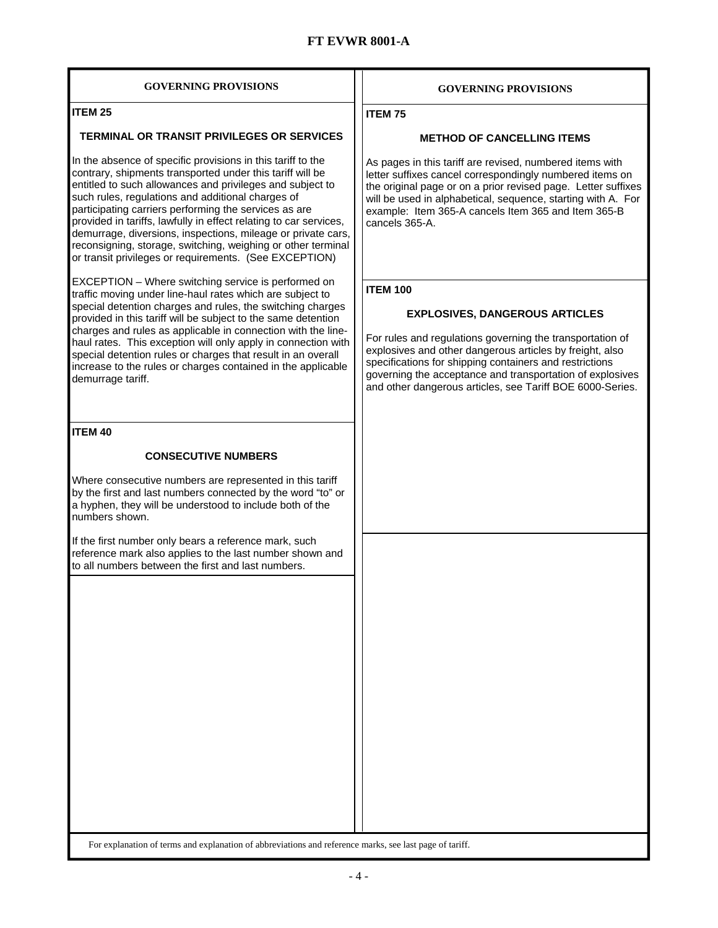| <b>GOVERNING PROVISIONS</b>                                                                                                                                                                                                                                                                                                                                                                                                                                                                                                                                        | <b>GOVERNING PROVISIONS</b>                                                                                                                                                                                                                                                                                                                                            |  |
|--------------------------------------------------------------------------------------------------------------------------------------------------------------------------------------------------------------------------------------------------------------------------------------------------------------------------------------------------------------------------------------------------------------------------------------------------------------------------------------------------------------------------------------------------------------------|------------------------------------------------------------------------------------------------------------------------------------------------------------------------------------------------------------------------------------------------------------------------------------------------------------------------------------------------------------------------|--|
| <b>ITEM 25</b>                                                                                                                                                                                                                                                                                                                                                                                                                                                                                                                                                     | <b>ITEM75</b>                                                                                                                                                                                                                                                                                                                                                          |  |
| <b>TERMINAL OR TRANSIT PRIVILEGES OR SERVICES</b>                                                                                                                                                                                                                                                                                                                                                                                                                                                                                                                  | <b>METHOD OF CANCELLING ITEMS</b>                                                                                                                                                                                                                                                                                                                                      |  |
| In the absence of specific provisions in this tariff to the<br>contrary, shipments transported under this tariff will be<br>entitled to such allowances and privileges and subject to<br>such rules, regulations and additional charges of<br>participating carriers performing the services as are<br>provided in tariffs, lawfully in effect relating to car services,<br>demurrage, diversions, inspections, mileage or private cars,<br>reconsigning, storage, switching, weighing or other terminal<br>or transit privileges or requirements. (See EXCEPTION) | As pages in this tariff are revised, numbered items with<br>letter suffixes cancel correspondingly numbered items on<br>the original page or on a prior revised page. Letter suffixes<br>will be used in alphabetical, sequence, starting with A. For<br>example: Item 365-A cancels Item 365 and Item 365-B<br>cancels 365-A.                                         |  |
| EXCEPTION - Where switching service is performed on<br>traffic moving under line-haul rates which are subject to<br>special detention charges and rules, the switching charges<br>provided in this tariff will be subject to the same detention<br>charges and rules as applicable in connection with the line-<br>haul rates. This exception will only apply in connection with<br>special detention rules or charges that result in an overall<br>increase to the rules or charges contained in the applicable<br>demurrage tariff.                              | <b>ITEM 100</b><br><b>EXPLOSIVES, DANGEROUS ARTICLES</b><br>For rules and regulations governing the transportation of<br>explosives and other dangerous articles by freight, also<br>specifications for shipping containers and restrictions<br>governing the acceptance and transportation of explosives<br>and other dangerous articles, see Tariff BOE 6000-Series. |  |
| <b>ITEM 40</b>                                                                                                                                                                                                                                                                                                                                                                                                                                                                                                                                                     |                                                                                                                                                                                                                                                                                                                                                                        |  |
| <b>CONSECUTIVE NUMBERS</b>                                                                                                                                                                                                                                                                                                                                                                                                                                                                                                                                         |                                                                                                                                                                                                                                                                                                                                                                        |  |
| Where consecutive numbers are represented in this tariff<br>by the first and last numbers connected by the word "to" or<br>a hyphen, they will be understood to include both of the<br>numbers shown.                                                                                                                                                                                                                                                                                                                                                              |                                                                                                                                                                                                                                                                                                                                                                        |  |
| If the first number only bears a reference mark, such<br>reference mark also applies to the last number shown and<br>to all numbers between the first and last numbers.                                                                                                                                                                                                                                                                                                                                                                                            |                                                                                                                                                                                                                                                                                                                                                                        |  |
| For explanation of terms and explanation of abbreviations and reference marks, see last page of tariff.                                                                                                                                                                                                                                                                                                                                                                                                                                                            |                                                                                                                                                                                                                                                                                                                                                                        |  |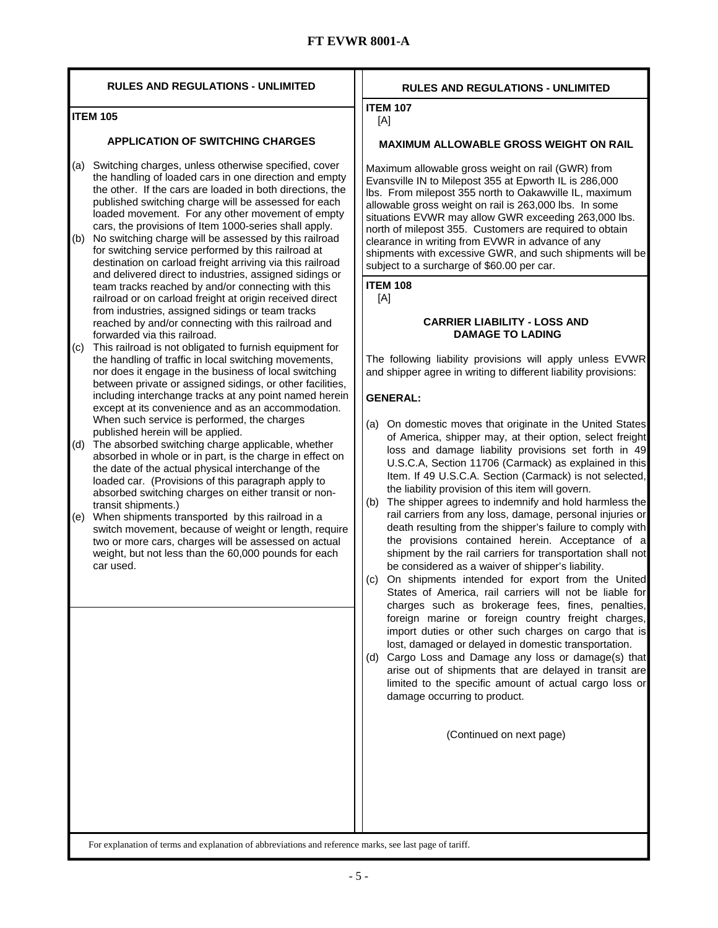| <b>RULES AND REGULATIONS - UNLIMITED</b>                                                                                                                                                                                                                                                                                                                                                                                                                                                                                                                                                               | <b>RULES AND REGULATIONS - UNLIMITED</b>                                                                                                                                                                                                                                                                                                                                                                                                                                                                                                                                                                                                                                                                                                                                                      |
|--------------------------------------------------------------------------------------------------------------------------------------------------------------------------------------------------------------------------------------------------------------------------------------------------------------------------------------------------------------------------------------------------------------------------------------------------------------------------------------------------------------------------------------------------------------------------------------------------------|-----------------------------------------------------------------------------------------------------------------------------------------------------------------------------------------------------------------------------------------------------------------------------------------------------------------------------------------------------------------------------------------------------------------------------------------------------------------------------------------------------------------------------------------------------------------------------------------------------------------------------------------------------------------------------------------------------------------------------------------------------------------------------------------------|
| <b>ITEM 105</b>                                                                                                                                                                                                                                                                                                                                                                                                                                                                                                                                                                                        | <b>ITEM 107</b><br>[A]                                                                                                                                                                                                                                                                                                                                                                                                                                                                                                                                                                                                                                                                                                                                                                        |
| <b>APPLICATION OF SWITCHING CHARGES</b>                                                                                                                                                                                                                                                                                                                                                                                                                                                                                                                                                                | <b>MAXIMUM ALLOWABLE GROSS WEIGHT ON RAIL</b>                                                                                                                                                                                                                                                                                                                                                                                                                                                                                                                                                                                                                                                                                                                                                 |
| Switching charges, unless otherwise specified, cover<br>(a)<br>the handling of loaded cars in one direction and empty<br>the other. If the cars are loaded in both directions, the<br>published switching charge will be assessed for each<br>loaded movement. For any other movement of empty<br>cars, the provisions of Item 1000-series shall apply.<br>No switching charge will be assessed by this railroad<br>(b)<br>for switching service performed by this railroad at<br>destination on carload freight arriving via this railroad<br>and delivered direct to industries, assigned sidings or | Maximum allowable gross weight on rail (GWR) from<br>Evansville IN to Milepost 355 at Epworth IL is 286,000<br>Ibs. From milepost 355 north to Oakawville IL, maximum<br>allowable gross weight on rail is 263,000 lbs. In some<br>situations EVWR may allow GWR exceeding 263,000 lbs.<br>north of milepost 355. Customers are required to obtain<br>clearance in writing from EVWR in advance of any<br>shipments with excessive GWR, and such shipments will be<br>subject to a surcharge of \$60.00 per car.                                                                                                                                                                                                                                                                              |
| team tracks reached by and/or connecting with this<br>railroad or on carload freight at origin received direct<br>from industries, assigned sidings or team tracks<br>reached by and/or connecting with this railroad and<br>forwarded via this railroad.<br>This railroad is not obligated to furnish equipment for<br>(c)<br>the handling of traffic in local switching movements,<br>nor does it engage in the business of local switching<br>between private or assigned sidings, or other facilities,<br>including interchange tracks at any point named herein                                   | <b>ITEM 108</b><br>[A]<br><b>CARRIER LIABILITY - LOSS AND</b><br><b>DAMAGE TO LADING</b><br>The following liability provisions will apply unless EVWR<br>and shipper agree in writing to different liability provisions:<br><b>GENERAL:</b>                                                                                                                                                                                                                                                                                                                                                                                                                                                                                                                                                   |
| except at its convenience and as an accommodation.<br>When such service is performed, the charges<br>published herein will be applied.<br>The absorbed switching charge applicable, whether<br>(d)<br>absorbed in whole or in part, is the charge in effect on<br>the date of the actual physical interchange of the<br>loaded car. (Provisions of this paragraph apply to<br>absorbed switching charges on either transit or non-<br>transit shipments.)<br>When shipments transported by this railroad in a<br>(e)                                                                                   | On domestic moves that originate in the United States<br>(a)<br>of America, shipper may, at their option, select freight<br>loss and damage liability provisions set forth in 49<br>U.S.C.A, Section 11706 (Carmack) as explained in this<br>Item. If 49 U.S.C.A. Section (Carmack) is not selected,<br>the liability provision of this item will govern.<br>The shipper agrees to indemnify and hold harmless the<br>(b)<br>rail carriers from any loss, damage, personal injuries or                                                                                                                                                                                                                                                                                                        |
| switch movement, because of weight or length, require<br>two or more cars, charges will be assessed on actual<br>weight, but not less than the 60,000 pounds for each<br>car used.                                                                                                                                                                                                                                                                                                                                                                                                                     | death resulting from the shipper's failure to comply with<br>the provisions contained herein. Acceptance of a<br>shipment by the rail carriers for transportation shall not<br>be considered as a waiver of shipper's liability.<br>On shipments intended for export from the United<br>(c)<br>States of America, rail carriers will not be liable for<br>charges such as brokerage fees, fines, penalties,<br>foreign marine or foreign country freight charges,<br>import duties or other such charges on cargo that is<br>lost, damaged or delayed in domestic transportation.<br>(d) Cargo Loss and Damage any loss or damage(s) that<br>arise out of shipments that are delayed in transit are<br>limited to the specific amount of actual cargo loss or<br>damage occurring to product. |
|                                                                                                                                                                                                                                                                                                                                                                                                                                                                                                                                                                                                        | (Continued on next page)                                                                                                                                                                                                                                                                                                                                                                                                                                                                                                                                                                                                                                                                                                                                                                      |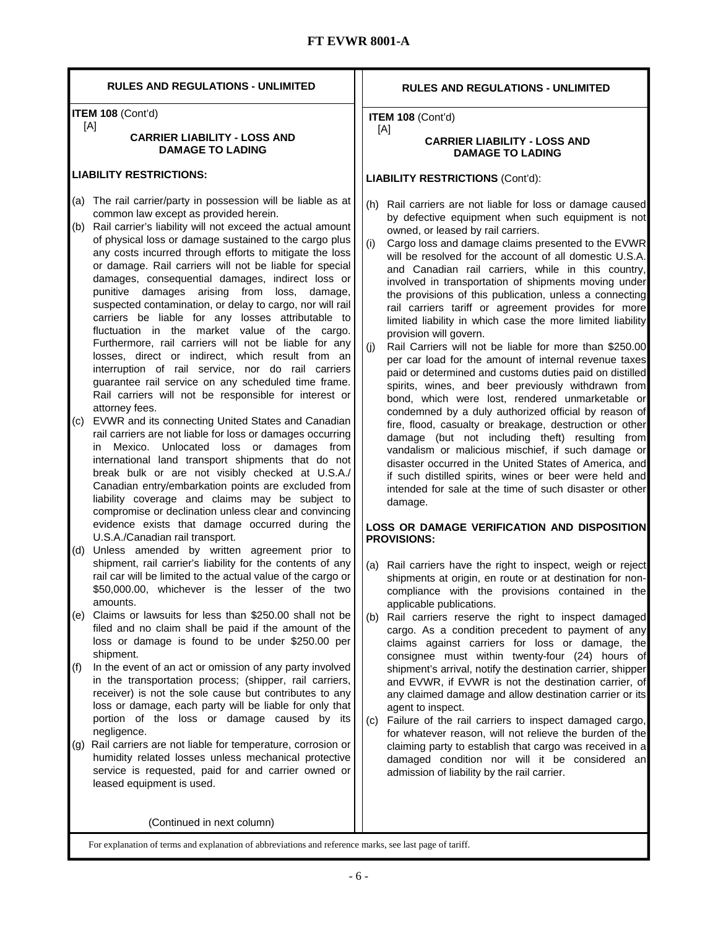| <b>RULES AND REGULATIONS - UNLIMITED</b>                                                                                                                                                                                                                                                                                                                                                                                                                                                                                                                                                                                                                                                                                                                                                                                                                                                                                                                                                                                                                                                                                                                                                                                                                                                                                                                                                       | <b>RULES AND REGULATIONS - UNLIMITED</b>                                                                                                                                                                                                                                                                                                                                                                                                                                                                                                                                                                                                                                                                                                                                                                                                                                                                                                                                                                                                                                                                                                                                                                                                                                                                                      |
|------------------------------------------------------------------------------------------------------------------------------------------------------------------------------------------------------------------------------------------------------------------------------------------------------------------------------------------------------------------------------------------------------------------------------------------------------------------------------------------------------------------------------------------------------------------------------------------------------------------------------------------------------------------------------------------------------------------------------------------------------------------------------------------------------------------------------------------------------------------------------------------------------------------------------------------------------------------------------------------------------------------------------------------------------------------------------------------------------------------------------------------------------------------------------------------------------------------------------------------------------------------------------------------------------------------------------------------------------------------------------------------------|-------------------------------------------------------------------------------------------------------------------------------------------------------------------------------------------------------------------------------------------------------------------------------------------------------------------------------------------------------------------------------------------------------------------------------------------------------------------------------------------------------------------------------------------------------------------------------------------------------------------------------------------------------------------------------------------------------------------------------------------------------------------------------------------------------------------------------------------------------------------------------------------------------------------------------------------------------------------------------------------------------------------------------------------------------------------------------------------------------------------------------------------------------------------------------------------------------------------------------------------------------------------------------------------------------------------------------|
| ITEM 108 (Cont'd)<br>[A]                                                                                                                                                                                                                                                                                                                                                                                                                                                                                                                                                                                                                                                                                                                                                                                                                                                                                                                                                                                                                                                                                                                                                                                                                                                                                                                                                                       | ITEM 108 (Cont'd)                                                                                                                                                                                                                                                                                                                                                                                                                                                                                                                                                                                                                                                                                                                                                                                                                                                                                                                                                                                                                                                                                                                                                                                                                                                                                                             |
| <b>CARRIER LIABILITY - LOSS AND</b><br><b>DAMAGE TO LADING</b>                                                                                                                                                                                                                                                                                                                                                                                                                                                                                                                                                                                                                                                                                                                                                                                                                                                                                                                                                                                                                                                                                                                                                                                                                                                                                                                                 | [A]<br><b>CARRIER LIABILITY - LOSS AND</b><br><b>DAMAGE TO LADING</b>                                                                                                                                                                                                                                                                                                                                                                                                                                                                                                                                                                                                                                                                                                                                                                                                                                                                                                                                                                                                                                                                                                                                                                                                                                                         |
| <b>LIABILITY RESTRICTIONS:</b>                                                                                                                                                                                                                                                                                                                                                                                                                                                                                                                                                                                                                                                                                                                                                                                                                                                                                                                                                                                                                                                                                                                                                                                                                                                                                                                                                                 | <b>LIABILITY RESTRICTIONS (Cont'd):</b>                                                                                                                                                                                                                                                                                                                                                                                                                                                                                                                                                                                                                                                                                                                                                                                                                                                                                                                                                                                                                                                                                                                                                                                                                                                                                       |
| (a) The rail carrier/party in possession will be liable as at<br>common law except as provided herein.<br>(b) Rail carrier's liability will not exceed the actual amount<br>of physical loss or damage sustained to the cargo plus<br>any costs incurred through efforts to mitigate the loss<br>or damage. Rail carriers will not be liable for special<br>damages, consequential damages, indirect loss or<br>punitive damages arising from loss,<br>damage,<br>suspected contamination, or delay to cargo, nor will rail<br>carriers be liable for any losses attributable to<br>fluctuation in the market value of the cargo.<br>Furthermore, rail carriers will not be liable for any<br>losses, direct or indirect, which result from an<br>interruption of rail service, nor do rail carriers<br>guarantee rail service on any scheduled time frame.<br>Rail carriers will not be responsible for interest or<br>attorney fees.<br>EVWR and its connecting United States and Canadian<br>(c)<br>rail carriers are not liable for loss or damages occurring<br>Mexico. Unlocated loss or damages from<br>in<br>international land transport shipments that do not<br>break bulk or are not visibly checked at U.S.A./<br>Canadian entry/embarkation points are excluded from<br>liability coverage and claims may be subject to<br>compromise or declination unless clear and convincing | (h)<br>Rail carriers are not liable for loss or damage caused<br>by defective equipment when such equipment is not<br>owned, or leased by rail carriers.<br>(i)<br>Cargo loss and damage claims presented to the EVWR<br>will be resolved for the account of all domestic U.S.A.<br>and Canadian rail carriers, while in this country,<br>involved in transportation of shipments moving under<br>the provisions of this publication, unless a connecting<br>rail carriers tariff or agreement provides for more<br>limited liability in which case the more limited liability<br>provision will govern.<br>(i)<br>Rail Carriers will not be liable for more than \$250.00<br>per car load for the amount of internal revenue taxes<br>paid or determined and customs duties paid on distilled<br>spirits, wines, and beer previously withdrawn from<br>bond, which were lost, rendered unmarketable or<br>condemned by a duly authorized official by reason of<br>fire, flood, casualty or breakage, destruction or other<br>damage (but not including theft) resulting from<br>vandalism or malicious mischief, if such damage or<br>disaster occurred in the United States of America, and<br>if such distilled spirits, wines or beer were held and<br>intended for sale at the time of such disaster or other<br>damage. |
| evidence exists that damage occurred during the<br>U.S.A./Canadian rail transport.<br>Unless amended by written agreement prior to<br>(d)<br>shipment, rail carrier's liability for the contents of any                                                                                                                                                                                                                                                                                                                                                                                                                                                                                                                                                                                                                                                                                                                                                                                                                                                                                                                                                                                                                                                                                                                                                                                        | <b>LOSS OR DAMAGE VERIFICATION AND DISPOSITION</b><br><b>PROVISIONS:</b><br>(a) Rail carriers have the right to inspect, weigh or reject                                                                                                                                                                                                                                                                                                                                                                                                                                                                                                                                                                                                                                                                                                                                                                                                                                                                                                                                                                                                                                                                                                                                                                                      |
| rail car will be limited to the actual value of the cargo or<br>\$50,000.00, whichever is the lesser of the two<br>amounts.<br>Claims or lawsuits for less than \$250.00 shall not be<br>(e)<br>filed and no claim shall be paid if the amount of the<br>loss or damage is found to be under \$250.00 per                                                                                                                                                                                                                                                                                                                                                                                                                                                                                                                                                                                                                                                                                                                                                                                                                                                                                                                                                                                                                                                                                      | shipments at origin, en route or at destination for non-<br>compliance with the provisions contained in the<br>applicable publications.<br>Rail carriers reserve the right to inspect damaged<br>(b)<br>cargo. As a condition precedent to payment of any<br>claims against carriers for loss or damage, the                                                                                                                                                                                                                                                                                                                                                                                                                                                                                                                                                                                                                                                                                                                                                                                                                                                                                                                                                                                                                  |
| shipment.<br>In the event of an act or omission of any party involved<br>(f)<br>in the transportation process; (shipper, rail carriers,<br>receiver) is not the sole cause but contributes to any<br>loss or damage, each party will be liable for only that<br>portion of the loss or damage caused by its                                                                                                                                                                                                                                                                                                                                                                                                                                                                                                                                                                                                                                                                                                                                                                                                                                                                                                                                                                                                                                                                                    | consignee must within twenty-four (24) hours of<br>shipment's arrival, notify the destination carrier, shipper<br>and EVWR, if EVWR is not the destination carrier, of<br>any claimed damage and allow destination carrier or its<br>agent to inspect.<br>Failure of the rail carriers to inspect damaged cargo,<br>(c)                                                                                                                                                                                                                                                                                                                                                                                                                                                                                                                                                                                                                                                                                                                                                                                                                                                                                                                                                                                                       |
| negligence.<br>Rail carriers are not liable for temperature, corrosion or<br>(g)<br>humidity related losses unless mechanical protective<br>service is requested, paid for and carrier owned or<br>leased equipment is used.                                                                                                                                                                                                                                                                                                                                                                                                                                                                                                                                                                                                                                                                                                                                                                                                                                                                                                                                                                                                                                                                                                                                                                   | for whatever reason, will not relieve the burden of the<br>claiming party to establish that cargo was received in a<br>damaged condition nor will it be considered an<br>admission of liability by the rail carrier.                                                                                                                                                                                                                                                                                                                                                                                                                                                                                                                                                                                                                                                                                                                                                                                                                                                                                                                                                                                                                                                                                                          |
| (Continued in next column)                                                                                                                                                                                                                                                                                                                                                                                                                                                                                                                                                                                                                                                                                                                                                                                                                                                                                                                                                                                                                                                                                                                                                                                                                                                                                                                                                                     |                                                                                                                                                                                                                                                                                                                                                                                                                                                                                                                                                                                                                                                                                                                                                                                                                                                                                                                                                                                                                                                                                                                                                                                                                                                                                                                               |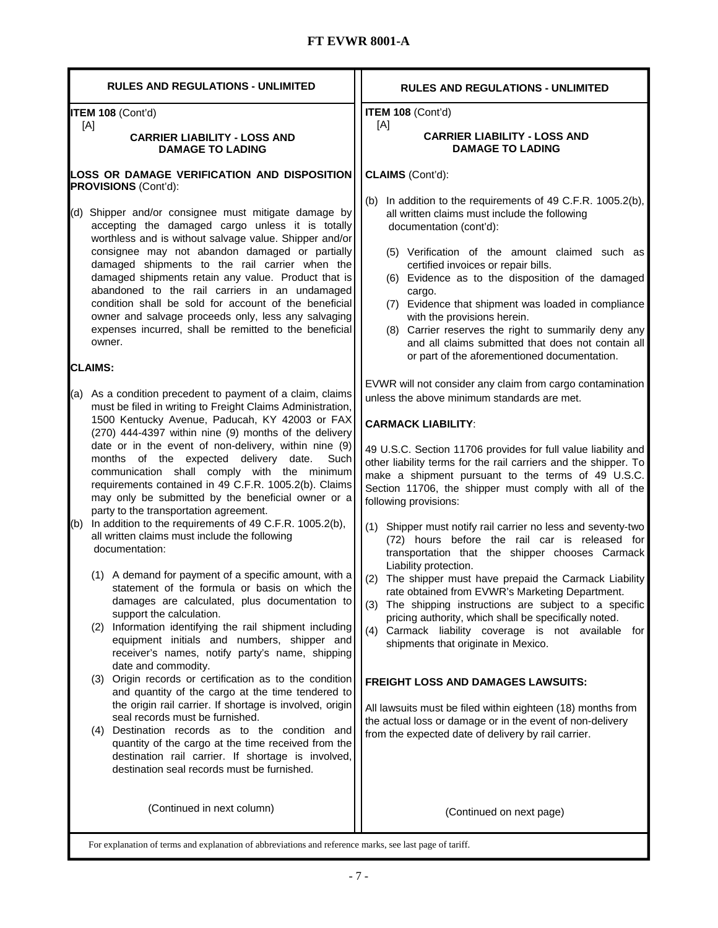| <b>RULES AND REGULATIONS - UNLIMITED</b>                                                                                                                                                                                                                                                                                                                                                                                                                                                                                                                                                                                                                                                                                                                                                                                                                                                                                                                                                                                                                               | <b>RULES AND REGULATIONS - UNLIMITED</b>                                                                                                                                                                                                                                                                                                                                                                                                                                                                                                                                                                                                                                                                                                                                                                                                                                                                                                                  |
|------------------------------------------------------------------------------------------------------------------------------------------------------------------------------------------------------------------------------------------------------------------------------------------------------------------------------------------------------------------------------------------------------------------------------------------------------------------------------------------------------------------------------------------------------------------------------------------------------------------------------------------------------------------------------------------------------------------------------------------------------------------------------------------------------------------------------------------------------------------------------------------------------------------------------------------------------------------------------------------------------------------------------------------------------------------------|-----------------------------------------------------------------------------------------------------------------------------------------------------------------------------------------------------------------------------------------------------------------------------------------------------------------------------------------------------------------------------------------------------------------------------------------------------------------------------------------------------------------------------------------------------------------------------------------------------------------------------------------------------------------------------------------------------------------------------------------------------------------------------------------------------------------------------------------------------------------------------------------------------------------------------------------------------------|
| ITEM 108 (Cont'd)                                                                                                                                                                                                                                                                                                                                                                                                                                                                                                                                                                                                                                                                                                                                                                                                                                                                                                                                                                                                                                                      | ITEM 108 (Cont'd)                                                                                                                                                                                                                                                                                                                                                                                                                                                                                                                                                                                                                                                                                                                                                                                                                                                                                                                                         |
| [A]<br><b>CARRIER LIABILITY - LOSS AND</b><br><b>DAMAGE TO LADING</b>                                                                                                                                                                                                                                                                                                                                                                                                                                                                                                                                                                                                                                                                                                                                                                                                                                                                                                                                                                                                  | [A]<br><b>CARRIER LIABILITY - LOSS AND</b><br><b>DAMAGE TO LADING</b>                                                                                                                                                                                                                                                                                                                                                                                                                                                                                                                                                                                                                                                                                                                                                                                                                                                                                     |
| LOSS OR DAMAGE VERIFICATION AND DISPOSITION<br>PROVISIONS (Cont'd):                                                                                                                                                                                                                                                                                                                                                                                                                                                                                                                                                                                                                                                                                                                                                                                                                                                                                                                                                                                                    | CLAIMS (Cont'd):                                                                                                                                                                                                                                                                                                                                                                                                                                                                                                                                                                                                                                                                                                                                                                                                                                                                                                                                          |
| (d) Shipper and/or consignee must mitigate damage by<br>accepting the damaged cargo unless it is totally<br>worthless and is without salvage value. Shipper and/or<br>consignee may not abandon damaged or partially<br>damaged shipments to the rail carrier when the<br>damaged shipments retain any value. Product that is<br>abandoned to the rail carriers in an undamaged<br>condition shall be sold for account of the beneficial<br>owner and salvage proceeds only, less any salvaging<br>expenses incurred, shall be remitted to the beneficial<br>owner.                                                                                                                                                                                                                                                                                                                                                                                                                                                                                                    | In addition to the requirements of 49 C.F.R. 1005.2(b),<br>(b)<br>all written claims must include the following<br>documentation (cont'd):<br>(5) Verification of the amount claimed such as<br>certified invoices or repair bills.<br>(6) Evidence as to the disposition of the damaged<br>cargo.<br>(7) Evidence that shipment was loaded in compliance<br>with the provisions herein.<br>(8) Carrier reserves the right to summarily deny any<br>and all claims submitted that does not contain all                                                                                                                                                                                                                                                                                                                                                                                                                                                    |
| <b>CLAIMS:</b>                                                                                                                                                                                                                                                                                                                                                                                                                                                                                                                                                                                                                                                                                                                                                                                                                                                                                                                                                                                                                                                         | or part of the aforementioned documentation.                                                                                                                                                                                                                                                                                                                                                                                                                                                                                                                                                                                                                                                                                                                                                                                                                                                                                                              |
| (a) As a condition precedent to payment of a claim, claims<br>must be filed in writing to Freight Claims Administration,<br>1500 Kentucky Avenue, Paducah, KY 42003 or FAX<br>(270) 444-4397 within nine (9) months of the delivery<br>date or in the event of non-delivery, within nine (9)<br>months of the expected delivery date.<br>Such<br>communication shall comply with the minimum<br>requirements contained in 49 C.F.R. 1005.2(b). Claims<br>may only be submitted by the beneficial owner or a<br>party to the transportation agreement.<br>(b) In addition to the requirements of 49 C.F.R. 1005.2(b),<br>all written claims must include the following<br>documentation:<br>(1) A demand for payment of a specific amount, with a<br>statement of the formula or basis on which the<br>damages are calculated, plus documentation to<br>support the calculation.<br>Information identifying the rail shipment including<br>(2)<br>equipment initials and numbers, shipper and<br>receiver's names, notify party's name, shipping<br>date and commodity. | EVWR will not consider any claim from cargo contamination<br>unless the above minimum standards are met.<br><b>CARMACK LIABILITY:</b><br>49 U.S.C. Section 11706 provides for full value liability and<br>other liability terms for the rail carriers and the shipper. To<br>make a shipment pursuant to the terms of 49 U.S.C.<br>Section 11706, the shipper must comply with all of the<br>following provisions:<br>Shipper must notify rail carrier no less and seventy-two<br>(1)<br>(72) hours before the rail car is released for<br>transportation that the shipper chooses Carmack<br>Liability protection.<br>(2)<br>The shipper must have prepaid the Carmack Liability<br>rate obtained from EVWR's Marketing Department.<br>(3)<br>The shipping instructions are subject to a specific<br>pricing authority, which shall be specifically noted.<br>(4) Carmack liability coverage is not available for<br>shipments that originate in Mexico. |
| (3) Origin records or certification as to the condition<br>and quantity of the cargo at the time tendered to<br>the origin rail carrier. If shortage is involved, origin<br>seal records must be furnished.<br>(4) Destination records as to the condition and<br>quantity of the cargo at the time received from the<br>destination rail carrier. If shortage is involved,<br>destination seal records must be furnished.                                                                                                                                                                                                                                                                                                                                                                                                                                                                                                                                                                                                                                             | <b>FREIGHT LOSS AND DAMAGES LAWSUITS:</b><br>All lawsuits must be filed within eighteen (18) months from<br>the actual loss or damage or in the event of non-delivery<br>from the expected date of delivery by rail carrier.                                                                                                                                                                                                                                                                                                                                                                                                                                                                                                                                                                                                                                                                                                                              |
| (Continued in next column)                                                                                                                                                                                                                                                                                                                                                                                                                                                                                                                                                                                                                                                                                                                                                                                                                                                                                                                                                                                                                                             | (Continued on next page)                                                                                                                                                                                                                                                                                                                                                                                                                                                                                                                                                                                                                                                                                                                                                                                                                                                                                                                                  |
| For explanation of terms and explanation of abbreviations and reference marks, see last page of tariff                                                                                                                                                                                                                                                                                                                                                                                                                                                                                                                                                                                                                                                                                                                                                                                                                                                                                                                                                                 |                                                                                                                                                                                                                                                                                                                                                                                                                                                                                                                                                                                                                                                                                                                                                                                                                                                                                                                                                           |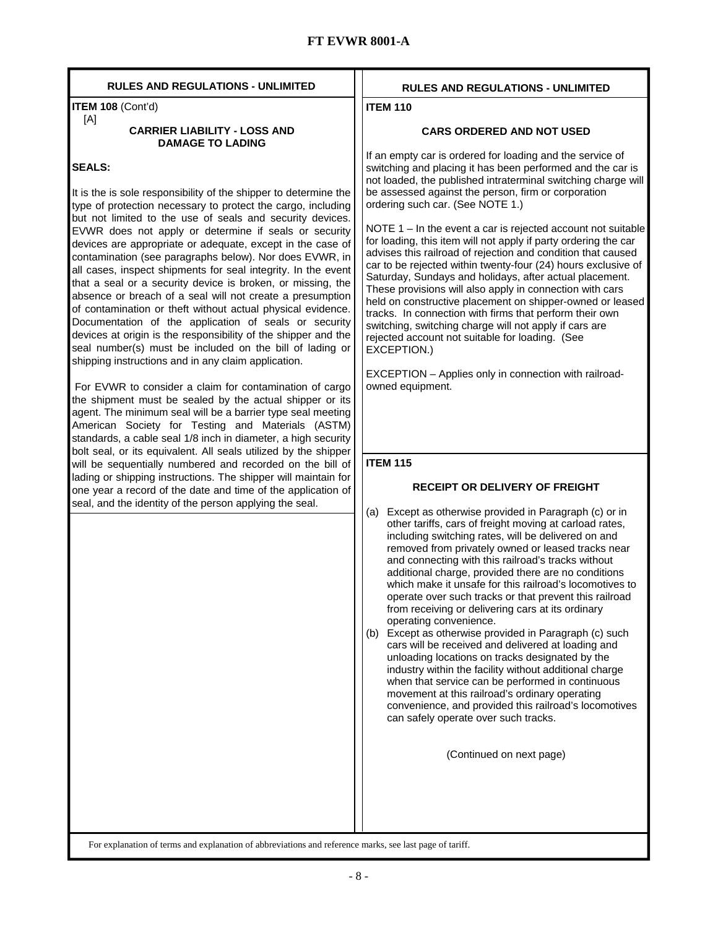| <b>RULES AND REGULATIONS - UNLIMITED</b>                                                                                                                                                                                                                                                                                                                                                                                                                                                                                                                                                                                                                                                                                                                                                                                                                                                                                                                                                                                                                                                                                                                                                                               | <b>RULES AND REGULATIONS - UNLIMITED</b>                                                                                                                                                                                                                                                                                                                                                                                                                                                                                                                                                                                                                                                                                                                                                                                                                                                                                                                                                                                   |
|------------------------------------------------------------------------------------------------------------------------------------------------------------------------------------------------------------------------------------------------------------------------------------------------------------------------------------------------------------------------------------------------------------------------------------------------------------------------------------------------------------------------------------------------------------------------------------------------------------------------------------------------------------------------------------------------------------------------------------------------------------------------------------------------------------------------------------------------------------------------------------------------------------------------------------------------------------------------------------------------------------------------------------------------------------------------------------------------------------------------------------------------------------------------------------------------------------------------|----------------------------------------------------------------------------------------------------------------------------------------------------------------------------------------------------------------------------------------------------------------------------------------------------------------------------------------------------------------------------------------------------------------------------------------------------------------------------------------------------------------------------------------------------------------------------------------------------------------------------------------------------------------------------------------------------------------------------------------------------------------------------------------------------------------------------------------------------------------------------------------------------------------------------------------------------------------------------------------------------------------------------|
| ITEM 108 (Cont'd)                                                                                                                                                                                                                                                                                                                                                                                                                                                                                                                                                                                                                                                                                                                                                                                                                                                                                                                                                                                                                                                                                                                                                                                                      | <b>ITEM 110</b>                                                                                                                                                                                                                                                                                                                                                                                                                                                                                                                                                                                                                                                                                                                                                                                                                                                                                                                                                                                                            |
| [A]<br><b>CARRIER LIABILITY - LOSS AND</b><br><b>DAMAGE TO LADING</b>                                                                                                                                                                                                                                                                                                                                                                                                                                                                                                                                                                                                                                                                                                                                                                                                                                                                                                                                                                                                                                                                                                                                                  | <b>CARS ORDERED AND NOT USED</b>                                                                                                                                                                                                                                                                                                                                                                                                                                                                                                                                                                                                                                                                                                                                                                                                                                                                                                                                                                                           |
| <b>SEALS:</b><br>It is the is sole responsibility of the shipper to determine the<br>type of protection necessary to protect the cargo, including<br>but not limited to the use of seals and security devices.<br>EVWR does not apply or determine if seals or security<br>devices are appropriate or adequate, except in the case of<br>contamination (see paragraphs below). Nor does EVWR, in<br>all cases, inspect shipments for seal integrity. In the event<br>that a seal or a security device is broken, or missing, the<br>absence or breach of a seal will not create a presumption<br>of contamination or theft without actual physical evidence.<br>Documentation of the application of seals or security<br>devices at origin is the responsibility of the shipper and the<br>seal number(s) must be included on the bill of lading or<br>shipping instructions and in any claim application.<br>For EVWR to consider a claim for contamination of cargo<br>the shipment must be sealed by the actual shipper or its<br>agent. The minimum seal will be a barrier type seal meeting<br>American Society for Testing and Materials (ASTM)<br>standards, a cable seal 1/8 inch in diameter, a high security | If an empty car is ordered for loading and the service of<br>switching and placing it has been performed and the car is<br>not loaded, the published intraterminal switching charge will<br>be assessed against the person, firm or corporation<br>ordering such car. (See NOTE 1.)<br>NOTE $1 - \ln \text{ the event a car is rejected account not suitable}$<br>for loading, this item will not apply if party ordering the car<br>advises this railroad of rejection and condition that caused<br>car to be rejected within twenty-four (24) hours exclusive of<br>Saturday, Sundays and holidays, after actual placement.<br>These provisions will also apply in connection with cars<br>held on constructive placement on shipper-owned or leased<br>tracks. In connection with firms that perform their own<br>switching, switching charge will not apply if cars are<br>rejected account not suitable for loading. (See<br>EXCEPTION.)<br>EXCEPTION - Applies only in connection with railroad-<br>owned equipment. |
| bolt seal, or its equivalent. All seals utilized by the shipper<br>will be sequentially numbered and recorded on the bill of                                                                                                                                                                                                                                                                                                                                                                                                                                                                                                                                                                                                                                                                                                                                                                                                                                                                                                                                                                                                                                                                                           | <b>ITEM 115</b>                                                                                                                                                                                                                                                                                                                                                                                                                                                                                                                                                                                                                                                                                                                                                                                                                                                                                                                                                                                                            |
| lading or shipping instructions. The shipper will maintain for                                                                                                                                                                                                                                                                                                                                                                                                                                                                                                                                                                                                                                                                                                                                                                                                                                                                                                                                                                                                                                                                                                                                                         |                                                                                                                                                                                                                                                                                                                                                                                                                                                                                                                                                                                                                                                                                                                                                                                                                                                                                                                                                                                                                            |
| one year a record of the date and time of the application of                                                                                                                                                                                                                                                                                                                                                                                                                                                                                                                                                                                                                                                                                                                                                                                                                                                                                                                                                                                                                                                                                                                                                           | <b>RECEIPT OR DELIVERY OF FREIGHT</b>                                                                                                                                                                                                                                                                                                                                                                                                                                                                                                                                                                                                                                                                                                                                                                                                                                                                                                                                                                                      |
| seal, and the identity of the person applying the seal.                                                                                                                                                                                                                                                                                                                                                                                                                                                                                                                                                                                                                                                                                                                                                                                                                                                                                                                                                                                                                                                                                                                                                                | Except as otherwise provided in Paragraph (c) or in<br>(a)<br>other tariffs, cars of freight moving at carload rates,<br>including switching rates, will be delivered on and<br>removed from privately owned or leased tracks near<br>and connecting with this railroad's tracks without<br>additional charge, provided there are no conditions<br>which make it unsafe for this railroad's locomotives to<br>operate over such tracks or that prevent this railroad<br>from receiving or delivering cars at its ordinary<br>operating convenience.<br>Except as otherwise provided in Paragraph (c) such<br>(b)<br>cars will be received and delivered at loading and<br>unloading locations on tracks designated by the<br>industry within the facility without additional charge<br>when that service can be performed in continuous<br>movement at this railroad's ordinary operating<br>convenience, and provided this railroad's locomotives<br>can safely operate over such tracks.<br>(Continued on next page)     |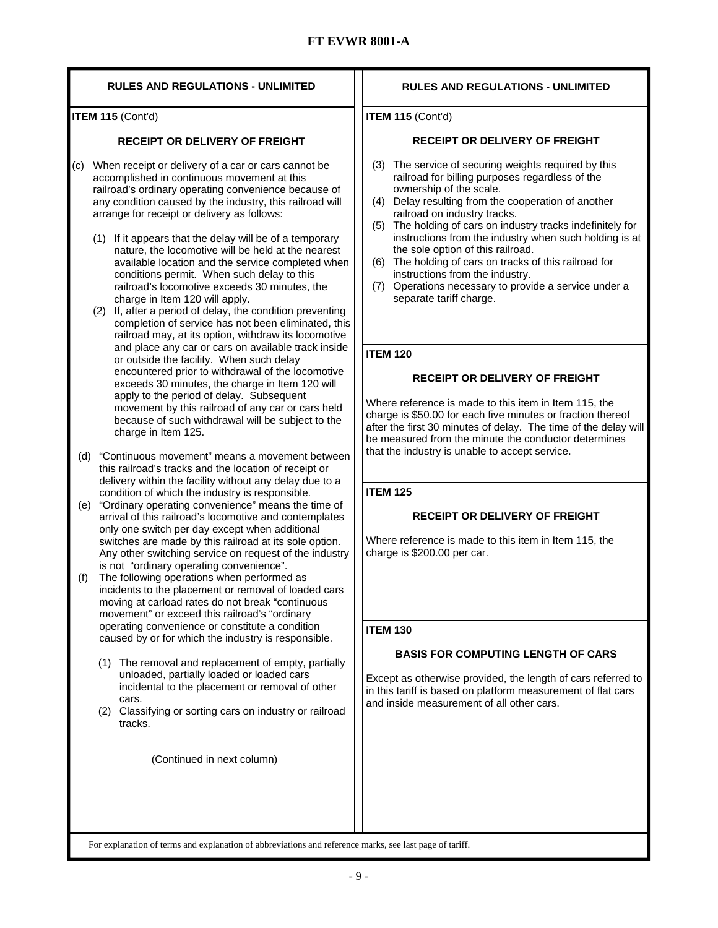| <b>RULES AND REGULATIONS - UNLIMITED</b>                                                                                                                                                                                                                                                                                                                                                                                                                                                                                                                                                                                                                                                                                                                                                                                                                                                                                                                                                                                                                                                                                                                                                                                                                                                                                                                                                                                                                                                                                                                                                                                                                                                                                                                                                                                                                                                                                                                                                                                                                                                                                                                                                                                                                                                                                               | <b>RULES AND REGULATIONS - UNLIMITED</b>                                                                                                                                                                                                                                                                                                                                                                                                                                                                                                                                                                                                                                                                                                                                                                                                                                                                                                                                                                                                                                                                                                                                                                                                                                                                                                            |
|----------------------------------------------------------------------------------------------------------------------------------------------------------------------------------------------------------------------------------------------------------------------------------------------------------------------------------------------------------------------------------------------------------------------------------------------------------------------------------------------------------------------------------------------------------------------------------------------------------------------------------------------------------------------------------------------------------------------------------------------------------------------------------------------------------------------------------------------------------------------------------------------------------------------------------------------------------------------------------------------------------------------------------------------------------------------------------------------------------------------------------------------------------------------------------------------------------------------------------------------------------------------------------------------------------------------------------------------------------------------------------------------------------------------------------------------------------------------------------------------------------------------------------------------------------------------------------------------------------------------------------------------------------------------------------------------------------------------------------------------------------------------------------------------------------------------------------------------------------------------------------------------------------------------------------------------------------------------------------------------------------------------------------------------------------------------------------------------------------------------------------------------------------------------------------------------------------------------------------------------------------------------------------------------------------------------------------------|-----------------------------------------------------------------------------------------------------------------------------------------------------------------------------------------------------------------------------------------------------------------------------------------------------------------------------------------------------------------------------------------------------------------------------------------------------------------------------------------------------------------------------------------------------------------------------------------------------------------------------------------------------------------------------------------------------------------------------------------------------------------------------------------------------------------------------------------------------------------------------------------------------------------------------------------------------------------------------------------------------------------------------------------------------------------------------------------------------------------------------------------------------------------------------------------------------------------------------------------------------------------------------------------------------------------------------------------------------|
| ITEM 115 (Cont'd)                                                                                                                                                                                                                                                                                                                                                                                                                                                                                                                                                                                                                                                                                                                                                                                                                                                                                                                                                                                                                                                                                                                                                                                                                                                                                                                                                                                                                                                                                                                                                                                                                                                                                                                                                                                                                                                                                                                                                                                                                                                                                                                                                                                                                                                                                                                      | ITEM 115 (Cont'd)                                                                                                                                                                                                                                                                                                                                                                                                                                                                                                                                                                                                                                                                                                                                                                                                                                                                                                                                                                                                                                                                                                                                                                                                                                                                                                                                   |
| <b>RECEIPT OR DELIVERY OF FREIGHT</b>                                                                                                                                                                                                                                                                                                                                                                                                                                                                                                                                                                                                                                                                                                                                                                                                                                                                                                                                                                                                                                                                                                                                                                                                                                                                                                                                                                                                                                                                                                                                                                                                                                                                                                                                                                                                                                                                                                                                                                                                                                                                                                                                                                                                                                                                                                  | <b>RECEIPT OR DELIVERY OF FREIGHT</b>                                                                                                                                                                                                                                                                                                                                                                                                                                                                                                                                                                                                                                                                                                                                                                                                                                                                                                                                                                                                                                                                                                                                                                                                                                                                                                               |
| When receipt or delivery of a car or cars cannot be<br>(C)<br>accomplished in continuous movement at this<br>railroad's ordinary operating convenience because of<br>any condition caused by the industry, this railroad will<br>arrange for receipt or delivery as follows:<br>(1) If it appears that the delay will be of a temporary<br>nature, the locomotive will be held at the nearest<br>available location and the service completed when<br>conditions permit. When such delay to this<br>railroad's locomotive exceeds 30 minutes, the<br>charge in Item 120 will apply.<br>If, after a period of delay, the condition preventing<br>(2)<br>completion of service has not been eliminated, this<br>railroad may, at its option, withdraw its locomotive<br>and place any car or cars on available track inside<br>or outside the facility. When such delay<br>encountered prior to withdrawal of the locomotive<br>exceeds 30 minutes, the charge in Item 120 will<br>apply to the period of delay. Subsequent<br>movement by this railroad of any car or cars held<br>because of such withdrawal will be subject to the<br>charge in Item 125.<br>"Continuous movement" means a movement between<br>(d)<br>this railroad's tracks and the location of receipt or<br>delivery within the facility without any delay due to a<br>condition of which the industry is responsible.<br>"Ordinary operating convenience" means the time of<br>(e)<br>arrival of this railroad's locomotive and contemplates<br>only one switch per day except when additional<br>switches are made by this railroad at its sole option.<br>Any other switching service on request of the industry<br>is not "ordinary operating convenience".<br>The following operations when performed as<br>(f)<br>incidents to the placement or removal of loaded cars<br>moving at carload rates do not break "continuous<br>movement" or exceed this railroad's "ordinary<br>operating convenience or constitute a condition<br>caused by or for which the industry is responsible.<br>(1) The removal and replacement of empty, partially<br>unloaded, partially loaded or loaded cars<br>incidental to the placement or removal of other<br>cars.<br>Classifying or sorting cars on industry or railroad<br>(2)<br>tracks.<br>(Continued in next column) | (3) The service of securing weights required by this<br>railroad for billing purposes regardless of the<br>ownership of the scale.<br>Delay resulting from the cooperation of another<br>(4)<br>railroad on industry tracks.<br>The holding of cars on industry tracks indefinitely for<br>(5)<br>instructions from the industry when such holding is at<br>the sole option of this railroad.<br>(6) The holding of cars on tracks of this railroad for<br>instructions from the industry.<br>Operations necessary to provide a service under a<br>(7)<br>separate tariff charge.<br><b>ITEM 120</b><br><b>RECEIPT OR DELIVERY OF FREIGHT</b><br>Where reference is made to this item in Item 115, the<br>charge is \$50.00 for each five minutes or fraction thereof<br>after the first 30 minutes of delay. The time of the delay will<br>be measured from the minute the conductor determines<br>that the industry is unable to accept service.<br><b>ITEM 125</b><br><b>RECEIPT OR DELIVERY OF FREIGHT</b><br>Where reference is made to this item in Item 115, the<br>charge is \$200.00 per car.<br><b>ITEM 130</b><br><b>BASIS FOR COMPUTING LENGTH OF CARS</b><br>Except as otherwise provided, the length of cars referred to<br>in this tariff is based on platform measurement of flat cars<br>and inside measurement of all other cars. |
| For explanation of terms and explanation of abbreviations and reference marks, see last page of tariff.                                                                                                                                                                                                                                                                                                                                                                                                                                                                                                                                                                                                                                                                                                                                                                                                                                                                                                                                                                                                                                                                                                                                                                                                                                                                                                                                                                                                                                                                                                                                                                                                                                                                                                                                                                                                                                                                                                                                                                                                                                                                                                                                                                                                                                |                                                                                                                                                                                                                                                                                                                                                                                                                                                                                                                                                                                                                                                                                                                                                                                                                                                                                                                                                                                                                                                                                                                                                                                                                                                                                                                                                     |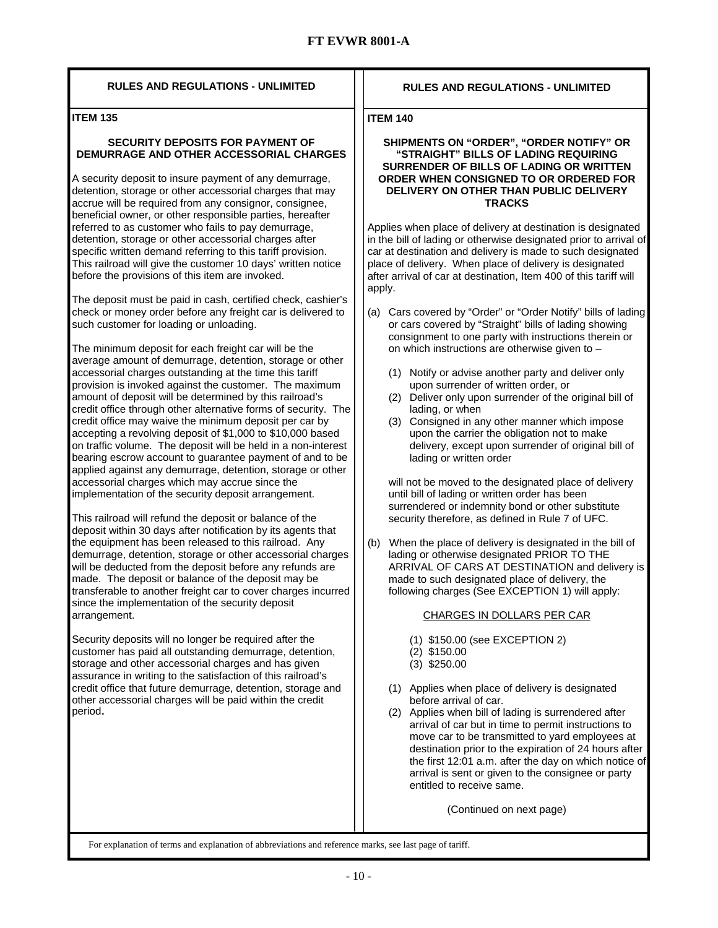#### **RULES AND REGULATIONS - UNLIMITED**

#### **ITEM 135**

#### **SECURITY DEPOSITS FOR PAYMENT OF DEMURRAGE AND OTHER ACCESSORIAL CHARGES**

A security deposit to insure payment of any demurrage, detention, storage or other accessorial charges that may accrue will be required from any consignor, consignee, beneficial owner, or other responsible parties, hereafter referred to as customer who fails to pay demurrage, detention, storage or other accessorial charges after specific written demand referring to this tariff provision. This railroad will give the customer 10 days' written notice before the provisions of this item are invoked.

The deposit must be paid in cash, certified check, cashier's check or money order before any freight car is delivered to such customer for loading or unloading.

The minimum deposit for each freight car will be the average amount of demurrage, detention, storage or other accessorial charges outstanding at the time this tariff provision is invoked against the customer. The maximum amount of deposit will be determined by this railroad's credit office through other alternative forms of security. The credit office may waive the minimum deposit per car by accepting a revolving deposit of \$1,000 to \$10,000 based on traffic volume. The deposit will be held in a non-interest bearing escrow account to guarantee payment of and to be applied against any demurrage, detention, storage or other accessorial charges which may accrue since the implementation of the security deposit arrangement.

This railroad will refund the deposit or balance of the deposit within 30 days after notification by its agents that the equipment has been released to this railroad. Any demurrage, detention, storage or other accessorial charges will be deducted from the deposit before any refunds are made. The deposit or balance of the deposit may be transferable to another freight car to cover charges incurred since the implementation of the security deposit arrangement.

Security deposits will no longer be required after the customer has paid all outstanding demurrage, detention, storage and other accessorial charges and has given assurance in writing to the satisfaction of this railroad's credit office that future demurrage, detention, storage and other accessorial charges will be paid within the credit period.

#### **RULES AND REGULATIONS - UNLIMITED**

#### **ITEM 140**

#### **SHIPMENTS ON "ORDER", "ORDER NOTIFY" OR "STRAIGHT" BILLS OF LADING REQUIRING SURRENDER OF BILLS OF LADING OR WRITTEN ORDER WHEN CONSIGNED TO OR ORDERED FOR DELIVERY ON OTHER THAN PUBLIC DELIVERY TRACKS**

Applies when place of delivery at destination is designated in the bill of lading or otherwise designated prior to arrival of car at destination and delivery is made to such designated place of delivery. When place of delivery is designated after arrival of car at destination, Item 400 of this tariff will apply.

- (a) Cars covered by "Order" or "Order Notify" bills of lading or cars covered by "Straight" bills of lading showing consignment to one party with instructions therein or on which instructions are otherwise given to –
	- (1) Notify or advise another party and deliver only upon surrender of written order, or
	- (2) Deliver only upon surrender of the original bill of lading, or when
	- (3) Consigned in any other manner which impose upon the carrier the obligation not to make delivery, except upon surrender of original bill of lading or written order

will not be moved to the designated place of delivery until bill of lading or written order has been surrendered or indemnity bond or other substitute security therefore, as defined in Rule 7 of UFC.

(b) When the place of delivery is designated in the bill of lading or otherwise designated PRIOR TO THE ARRIVAL OF CARS AT DESTINATION and delivery is made to such designated place of delivery, the following charges (See EXCEPTION 1) will apply:

#### CHARGES IN DOLLARS PER CAR

- (1) \$150.00 (see EXCEPTION 2)
- (2) \$150.00
- (3) \$250.00
- (1) Applies when place of delivery is designated before arrival of car.
- (2) Applies when bill of lading is surrendered after arrival of car but in time to permit instructions to move car to be transmitted to yard employees at destination prior to the expiration of 24 hours after the first 12:01 a.m. after the day on which notice of arrival is sent or given to the consignee or party entitled to receive same.

(Continued on next page)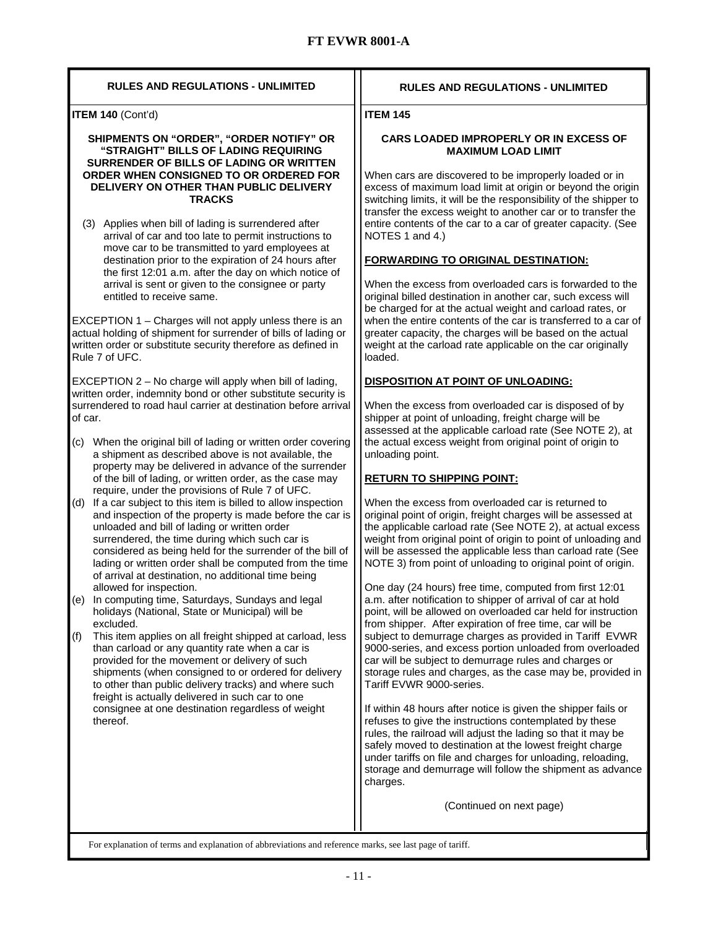| <b>RULES AND REGULATIONS - UNLIMITED</b>                                                                                                                                                                                                                                                                                                                                                                     | <b>RULES AND REGULATIONS - UNLIMITED</b>                                                                                                                                                                                                                                                                                                                                                    |
|--------------------------------------------------------------------------------------------------------------------------------------------------------------------------------------------------------------------------------------------------------------------------------------------------------------------------------------------------------------------------------------------------------------|---------------------------------------------------------------------------------------------------------------------------------------------------------------------------------------------------------------------------------------------------------------------------------------------------------------------------------------------------------------------------------------------|
| ITEM 140 (Cont'd)                                                                                                                                                                                                                                                                                                                                                                                            | <b>ITEM 145</b>                                                                                                                                                                                                                                                                                                                                                                             |
| SHIPMENTS ON "ORDER", "ORDER NOTIFY" OR<br>"STRAIGHT" BILLS OF LADING REQUIRING                                                                                                                                                                                                                                                                                                                              | <b>CARS LOADED IMPROPERLY OR IN EXCESS OF</b><br><b>MAXIMUM LOAD LIMIT</b>                                                                                                                                                                                                                                                                                                                  |
| SURRENDER OF BILLS OF LADING OR WRITTEN<br>ORDER WHEN CONSIGNED TO OR ORDERED FOR<br>DELIVERY ON OTHER THAN PUBLIC DELIVERY<br><b>TRACKS</b>                                                                                                                                                                                                                                                                 | When cars are discovered to be improperly loaded or in<br>excess of maximum load limit at origin or beyond the origin<br>switching limits, it will be the responsibility of the shipper to<br>transfer the excess weight to another car or to transfer the                                                                                                                                  |
| (3) Applies when bill of lading is surrendered after<br>arrival of car and too late to permit instructions to<br>move car to be transmitted to yard employees at                                                                                                                                                                                                                                             | entire contents of the car to a car of greater capacity. (See<br>NOTES 1 and 4.)                                                                                                                                                                                                                                                                                                            |
| destination prior to the expiration of 24 hours after<br>the first 12:01 a.m. after the day on which notice of                                                                                                                                                                                                                                                                                               | FORWARDING TO ORIGINAL DESTINATION:                                                                                                                                                                                                                                                                                                                                                         |
| arrival is sent or given to the consignee or party<br>entitled to receive same.                                                                                                                                                                                                                                                                                                                              | When the excess from overloaded cars is forwarded to the<br>original billed destination in another car, such excess will<br>be charged for at the actual weight and carload rates, or                                                                                                                                                                                                       |
| EXCEPTION 1 - Charges will not apply unless there is an<br>actual holding of shipment for surrender of bills of lading or<br>written order or substitute security therefore as defined in<br>Rule 7 of UFC.                                                                                                                                                                                                  | when the entire contents of the car is transferred to a car of<br>greater capacity, the charges will be based on the actual<br>weight at the carload rate applicable on the car originally<br>loaded.                                                                                                                                                                                       |
| EXCEPTION 2 - No charge will apply when bill of lading,<br>written order, indemnity bond or other substitute security is                                                                                                                                                                                                                                                                                     | DISPOSITION AT POINT OF UNLOADING:                                                                                                                                                                                                                                                                                                                                                          |
| surrendered to road haul carrier at destination before arrival<br>of car.                                                                                                                                                                                                                                                                                                                                    | When the excess from overloaded car is disposed of by<br>shipper at point of unloading, freight charge will be<br>assessed at the applicable carload rate (See NOTE 2), at                                                                                                                                                                                                                  |
| When the original bill of lading or written order covering<br>(C)<br>a shipment as described above is not available, the<br>property may be delivered in advance of the surrender                                                                                                                                                                                                                            | the actual excess weight from original point of origin to<br>unloading point.                                                                                                                                                                                                                                                                                                               |
| of the bill of lading, or written order, as the case may<br>require, under the provisions of Rule 7 of UFC.                                                                                                                                                                                                                                                                                                  | <b>RETURN TO SHIPPING POINT:</b>                                                                                                                                                                                                                                                                                                                                                            |
| (d) If a car subject to this item is billed to allow inspection<br>and inspection of the property is made before the car is<br>unloaded and bill of lading or written order<br>surrendered, the time during which such car is<br>considered as being held for the surrender of the bill of<br>lading or written order shall be computed from the time<br>of arrival at destination, no additional time being | When the excess from overloaded car is returned to<br>original point of origin, freight charges will be assessed at<br>the applicable carload rate (See NOTE 2), at actual excess<br>weight from original point of origin to point of unloading and<br>will be assessed the applicable less than carload rate (See<br>NOTE 3) from point of unloading to original point of origin.          |
| allowed for inspection.<br>In computing time, Saturdays, Sundays and legal<br>(e)<br>holidays (National, State or Municipal) will be                                                                                                                                                                                                                                                                         | One day (24 hours) free time, computed from first 12:01<br>a.m. after notification to shipper of arrival of car at hold<br>point, will be allowed on overloaded car held for instruction                                                                                                                                                                                                    |
| excluded.<br>(f)<br>This item applies on all freight shipped at carload, less<br>than carload or any quantity rate when a car is<br>provided for the movement or delivery of such<br>shipments (when consigned to or ordered for delivery<br>to other than public delivery tracks) and where such<br>freight is actually delivered in such car to one                                                        | from shipper. After expiration of free time, car will be<br>subject to demurrage charges as provided in Tariff EVWR<br>9000-series, and excess portion unloaded from overloaded<br>car will be subject to demurrage rules and charges or<br>storage rules and charges, as the case may be, provided in<br>Tariff EVWR 9000-series.                                                          |
| consignee at one destination regardless of weight<br>thereof.                                                                                                                                                                                                                                                                                                                                                | If within 48 hours after notice is given the shipper fails or<br>refuses to give the instructions contemplated by these<br>rules, the railroad will adjust the lading so that it may be<br>safely moved to destination at the lowest freight charge<br>under tariffs on file and charges for unloading, reloading,<br>storage and demurrage will follow the shipment as advance<br>charges. |
|                                                                                                                                                                                                                                                                                                                                                                                                              | (Continued on next page)                                                                                                                                                                                                                                                                                                                                                                    |
| For explanation of terms and explanation of abbreviations and reference marks, see last page of tariff.                                                                                                                                                                                                                                                                                                      |                                                                                                                                                                                                                                                                                                                                                                                             |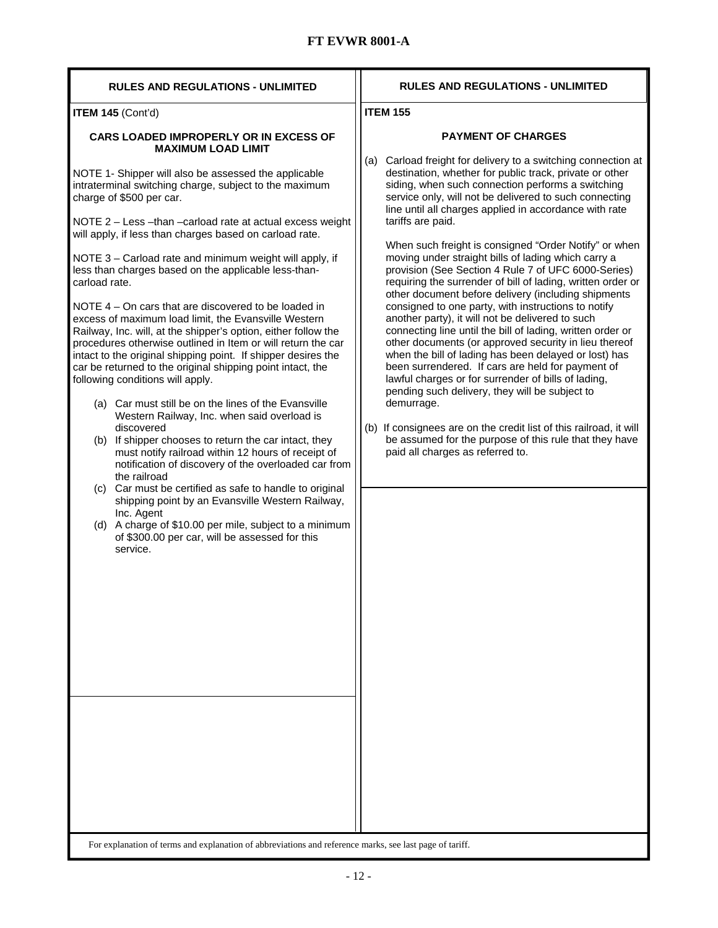| <b>RULES AND REGULATIONS - UNLIMITED</b>                                                                                                                                                                                                                                                                                                                                                                                                                                                                                                                                                                                                                                                                                                                                                                                                                                                                                                                                                                                                                                                                                                                                                                                                                                                                                                                                                                                                                                     | <b>RULES AND REGULATIONS - UNLIMITED</b>                                                                                                                                                                                                                                                                                                                                                                                                                                                                                                                                                                                                                                                                                                                                                                                                                                                                                                                                                                                                                                                                                                                                                                                                                                                       |
|------------------------------------------------------------------------------------------------------------------------------------------------------------------------------------------------------------------------------------------------------------------------------------------------------------------------------------------------------------------------------------------------------------------------------------------------------------------------------------------------------------------------------------------------------------------------------------------------------------------------------------------------------------------------------------------------------------------------------------------------------------------------------------------------------------------------------------------------------------------------------------------------------------------------------------------------------------------------------------------------------------------------------------------------------------------------------------------------------------------------------------------------------------------------------------------------------------------------------------------------------------------------------------------------------------------------------------------------------------------------------------------------------------------------------------------------------------------------------|------------------------------------------------------------------------------------------------------------------------------------------------------------------------------------------------------------------------------------------------------------------------------------------------------------------------------------------------------------------------------------------------------------------------------------------------------------------------------------------------------------------------------------------------------------------------------------------------------------------------------------------------------------------------------------------------------------------------------------------------------------------------------------------------------------------------------------------------------------------------------------------------------------------------------------------------------------------------------------------------------------------------------------------------------------------------------------------------------------------------------------------------------------------------------------------------------------------------------------------------------------------------------------------------|
| ITEM 145 (Cont'd)                                                                                                                                                                                                                                                                                                                                                                                                                                                                                                                                                                                                                                                                                                                                                                                                                                                                                                                                                                                                                                                                                                                                                                                                                                                                                                                                                                                                                                                            | <b>ITEM 155</b>                                                                                                                                                                                                                                                                                                                                                                                                                                                                                                                                                                                                                                                                                                                                                                                                                                                                                                                                                                                                                                                                                                                                                                                                                                                                                |
| <b>CARS LOADED IMPROPERLY OR IN EXCESS OF</b><br><b>MAXIMUM LOAD LIMIT</b><br>NOTE 1- Shipper will also be assessed the applicable<br>intraterminal switching charge, subject to the maximum<br>charge of \$500 per car.<br>NOTE 2 - Less - than - carload rate at actual excess weight<br>will apply, if less than charges based on carload rate.<br>NOTE 3 - Carload rate and minimum weight will apply, if<br>less than charges based on the applicable less-than-<br>carload rate.<br>NOTE 4 – On cars that are discovered to be loaded in<br>excess of maximum load limit, the Evansville Western<br>Railway, Inc. will, at the shipper's option, either follow the<br>procedures otherwise outlined in Item or will return the car<br>intact to the original shipping point. If shipper desires the<br>car be returned to the original shipping point intact, the<br>following conditions will apply.<br>(a) Car must still be on the lines of the Evansville<br>Western Railway, Inc. when said overload is<br>discovered<br>(b) If shipper chooses to return the car intact, they<br>must notify railroad within 12 hours of receipt of<br>notification of discovery of the overloaded car from<br>the railroad<br>(c) Car must be certified as safe to handle to original<br>shipping point by an Evansville Western Railway,<br>Inc. Agent<br>(d) A charge of \$10.00 per mile, subject to a minimum<br>of \$300.00 per car, will be assessed for this<br>service. | <b>PAYMENT OF CHARGES</b><br>Carload freight for delivery to a switching connection at<br>(a)<br>destination, whether for public track, private or other<br>siding, when such connection performs a switching<br>service only, will not be delivered to such connecting<br>line until all charges applied in accordance with rate<br>tariffs are paid.<br>When such freight is consigned "Order Notify" or when<br>moving under straight bills of lading which carry a<br>provision (See Section 4 Rule 7 of UFC 6000-Series)<br>requiring the surrender of bill of lading, written order or<br>other document before delivery (including shipments<br>consigned to one party, with instructions to notify<br>another party), it will not be delivered to such<br>connecting line until the bill of lading, written order or<br>other documents (or approved security in lieu thereof<br>when the bill of lading has been delayed or lost) has<br>been surrendered. If cars are held for payment of<br>lawful charges or for surrender of bills of lading,<br>pending such delivery, they will be subject to<br>demurrage.<br>(b) If consignees are on the credit list of this railroad, it will<br>be assumed for the purpose of this rule that they have<br>paid all charges as referred to. |
|                                                                                                                                                                                                                                                                                                                                                                                                                                                                                                                                                                                                                                                                                                                                                                                                                                                                                                                                                                                                                                                                                                                                                                                                                                                                                                                                                                                                                                                                              |                                                                                                                                                                                                                                                                                                                                                                                                                                                                                                                                                                                                                                                                                                                                                                                                                                                                                                                                                                                                                                                                                                                                                                                                                                                                                                |
| For explanation of terms and explanation of abbreviations and reference marks, see last page of tariff.                                                                                                                                                                                                                                                                                                                                                                                                                                                                                                                                                                                                                                                                                                                                                                                                                                                                                                                                                                                                                                                                                                                                                                                                                                                                                                                                                                      |                                                                                                                                                                                                                                                                                                                                                                                                                                                                                                                                                                                                                                                                                                                                                                                                                                                                                                                                                                                                                                                                                                                                                                                                                                                                                                |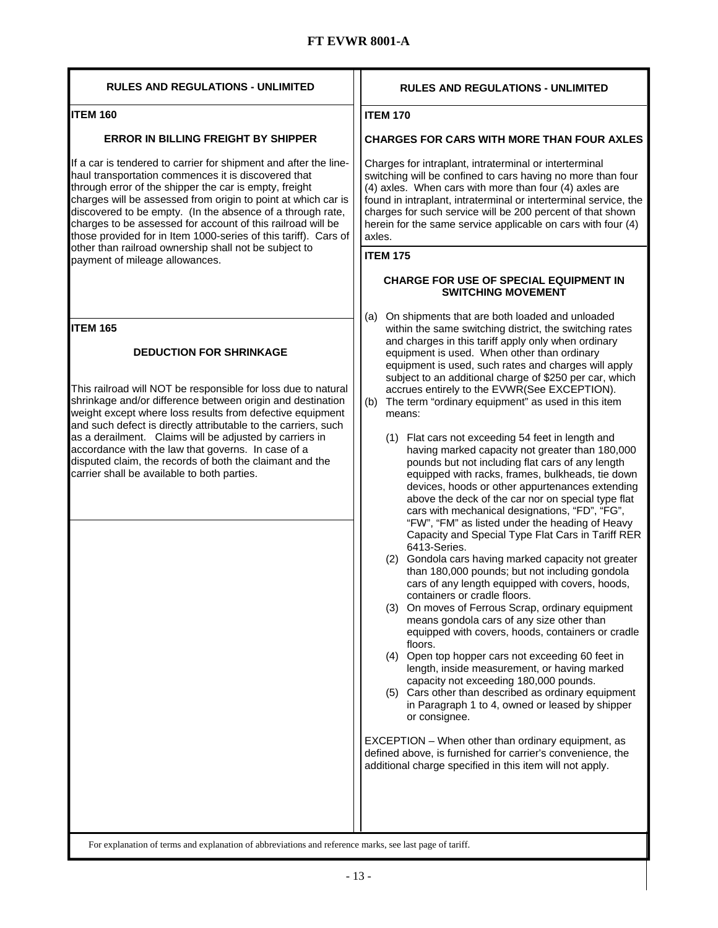| <b>RULES AND REGULATIONS - UNLIMITED</b>                                                                                                                                                                                                                                                                                                                                                                                                                                                                                             | <b>RULES AND REGULATIONS - UNLIMITED</b>                                                                                                                                                                                                                                                                                                                                                                                                                                                                                                                                                                                                                                                                                                                                                                                                                                                                                                                                                                                                                                                                                                                                                                                                                                                                                                                                                                                                                                                                                                                                                                                                                                                                                                                                                    |
|--------------------------------------------------------------------------------------------------------------------------------------------------------------------------------------------------------------------------------------------------------------------------------------------------------------------------------------------------------------------------------------------------------------------------------------------------------------------------------------------------------------------------------------|---------------------------------------------------------------------------------------------------------------------------------------------------------------------------------------------------------------------------------------------------------------------------------------------------------------------------------------------------------------------------------------------------------------------------------------------------------------------------------------------------------------------------------------------------------------------------------------------------------------------------------------------------------------------------------------------------------------------------------------------------------------------------------------------------------------------------------------------------------------------------------------------------------------------------------------------------------------------------------------------------------------------------------------------------------------------------------------------------------------------------------------------------------------------------------------------------------------------------------------------------------------------------------------------------------------------------------------------------------------------------------------------------------------------------------------------------------------------------------------------------------------------------------------------------------------------------------------------------------------------------------------------------------------------------------------------------------------------------------------------------------------------------------------------|
| <b>ITEM 160</b>                                                                                                                                                                                                                                                                                                                                                                                                                                                                                                                      | <b>ITEM 170</b>                                                                                                                                                                                                                                                                                                                                                                                                                                                                                                                                                                                                                                                                                                                                                                                                                                                                                                                                                                                                                                                                                                                                                                                                                                                                                                                                                                                                                                                                                                                                                                                                                                                                                                                                                                             |
| <b>ERROR IN BILLING FREIGHT BY SHIPPER</b>                                                                                                                                                                                                                                                                                                                                                                                                                                                                                           | <b>CHARGES FOR CARS WITH MORE THAN FOUR AXLES</b>                                                                                                                                                                                                                                                                                                                                                                                                                                                                                                                                                                                                                                                                                                                                                                                                                                                                                                                                                                                                                                                                                                                                                                                                                                                                                                                                                                                                                                                                                                                                                                                                                                                                                                                                           |
| If a car is tendered to carrier for shipment and after the line-<br>haul transportation commences it is discovered that<br>through error of the shipper the car is empty, freight<br>charges will be assessed from origin to point at which car is<br>discovered to be empty. (In the absence of a through rate,<br>charges to be assessed for account of this railroad will be<br>those provided for in Item 1000-series of this tariff). Cars of                                                                                   | Charges for intraplant, intraterminal or interterminal<br>switching will be confined to cars having no more than four<br>(4) axles. When cars with more than four (4) axles are<br>found in intraplant, intraterminal or interterminal service, the<br>charges for such service will be 200 percent of that shown<br>herein for the same service applicable on cars with four (4)<br>axles.                                                                                                                                                                                                                                                                                                                                                                                                                                                                                                                                                                                                                                                                                                                                                                                                                                                                                                                                                                                                                                                                                                                                                                                                                                                                                                                                                                                                 |
| other than railroad ownership shall not be subject to<br>payment of mileage allowances.                                                                                                                                                                                                                                                                                                                                                                                                                                              | <b>ITEM 175</b>                                                                                                                                                                                                                                                                                                                                                                                                                                                                                                                                                                                                                                                                                                                                                                                                                                                                                                                                                                                                                                                                                                                                                                                                                                                                                                                                                                                                                                                                                                                                                                                                                                                                                                                                                                             |
|                                                                                                                                                                                                                                                                                                                                                                                                                                                                                                                                      | <b>CHARGE FOR USE OF SPECIAL EQUIPMENT IN</b><br><b>SWITCHING MOVEMENT</b>                                                                                                                                                                                                                                                                                                                                                                                                                                                                                                                                                                                                                                                                                                                                                                                                                                                                                                                                                                                                                                                                                                                                                                                                                                                                                                                                                                                                                                                                                                                                                                                                                                                                                                                  |
| ITEM 165<br><b>DEDUCTION FOR SHRINKAGE</b><br>This railroad will NOT be responsible for loss due to natural<br>shrinkage and/or difference between origin and destination<br>weight except where loss results from defective equipment<br>and such defect is directly attributable to the carriers, such<br>as a derailment. Claims will be adjusted by carriers in<br>accordance with the law that governs. In case of a<br>disputed claim, the records of both the claimant and the<br>carrier shall be available to both parties. | On shipments that are both loaded and unloaded<br>(a)<br>within the same switching district, the switching rates<br>and charges in this tariff apply only when ordinary<br>equipment is used. When other than ordinary<br>equipment is used, such rates and charges will apply<br>subject to an additional charge of \$250 per car, which<br>accrues entirely to the EVWR(See EXCEPTION).<br>The term "ordinary equipment" as used in this item<br>(b)<br>means:<br>(1) Flat cars not exceeding 54 feet in length and<br>having marked capacity not greater than 180,000<br>pounds but not including flat cars of any length<br>equipped with racks, frames, bulkheads, tie down<br>devices, hoods or other appurtenances extending<br>above the deck of the car nor on special type flat<br>cars with mechanical designations, "FD", "FG",<br>"FW", "FM" as listed under the heading of Heavy<br>Capacity and Special Type Flat Cars in Tariff RER<br>6413-Series.<br>(2) Gondola cars having marked capacity not greater<br>than 180,000 pounds; but not including gondola<br>cars of any length equipped with covers, hoods,<br>containers or cradle floors.<br>(3) On moves of Ferrous Scrap, ordinary equipment<br>means gondola cars of any size other than<br>equipped with covers, hoods, containers or cradle<br>floors.<br>(4) Open top hopper cars not exceeding 60 feet in<br>length, inside measurement, or having marked<br>capacity not exceeding 180,000 pounds.<br>(5) Cars other than described as ordinary equipment<br>in Paragraph 1 to 4, owned or leased by shipper<br>or consignee.<br>EXCEPTION - When other than ordinary equipment, as<br>defined above, is furnished for carrier's convenience, the<br>additional charge specified in this item will not apply. |
|                                                                                                                                                                                                                                                                                                                                                                                                                                                                                                                                      |                                                                                                                                                                                                                                                                                                                                                                                                                                                                                                                                                                                                                                                                                                                                                                                                                                                                                                                                                                                                                                                                                                                                                                                                                                                                                                                                                                                                                                                                                                                                                                                                                                                                                                                                                                                             |
| For explanation of terms and explanation of abbreviations and reference marks, see last page of tariff.                                                                                                                                                                                                                                                                                                                                                                                                                              |                                                                                                                                                                                                                                                                                                                                                                                                                                                                                                                                                                                                                                                                                                                                                                                                                                                                                                                                                                                                                                                                                                                                                                                                                                                                                                                                                                                                                                                                                                                                                                                                                                                                                                                                                                                             |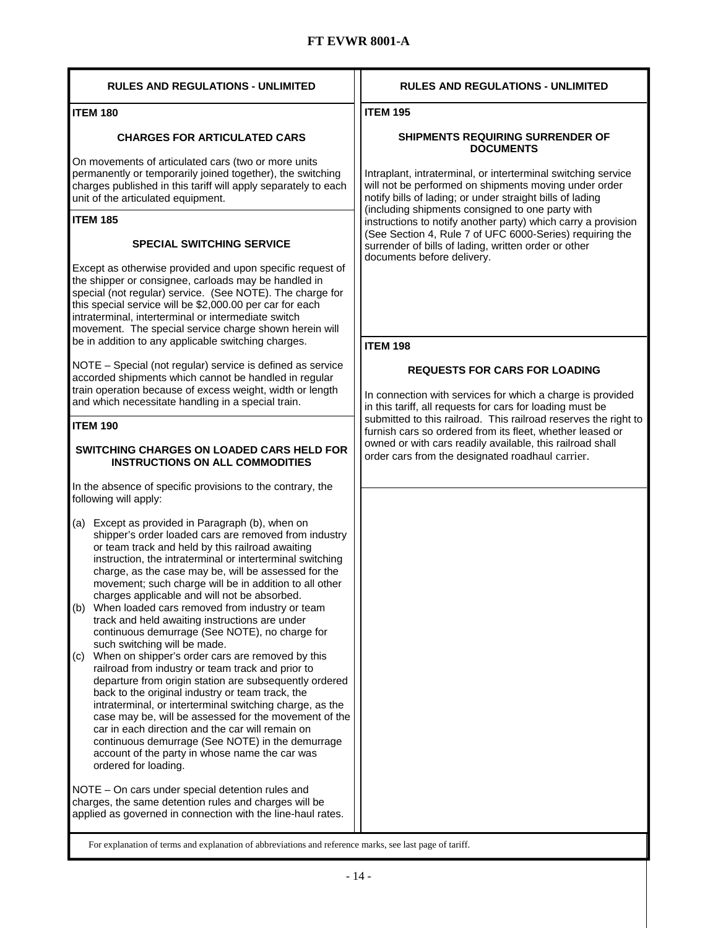| <b>RULES AND REGULATIONS - UNLIMITED</b>                                                                                                                                                                                                                                                                                                                                                                                                                                                                                                                                                                                                                                                                                                                                                                                                                                                                                                                                                                                                                                                                                       | <b>RULES AND REGULATIONS - UNLIMITED</b>                                                                                                                                            |
|--------------------------------------------------------------------------------------------------------------------------------------------------------------------------------------------------------------------------------------------------------------------------------------------------------------------------------------------------------------------------------------------------------------------------------------------------------------------------------------------------------------------------------------------------------------------------------------------------------------------------------------------------------------------------------------------------------------------------------------------------------------------------------------------------------------------------------------------------------------------------------------------------------------------------------------------------------------------------------------------------------------------------------------------------------------------------------------------------------------------------------|-------------------------------------------------------------------------------------------------------------------------------------------------------------------------------------|
| <b>ITEM 180</b>                                                                                                                                                                                                                                                                                                                                                                                                                                                                                                                                                                                                                                                                                                                                                                                                                                                                                                                                                                                                                                                                                                                | <b>ITEM 195</b>                                                                                                                                                                     |
| <b>CHARGES FOR ARTICULATED CARS</b>                                                                                                                                                                                                                                                                                                                                                                                                                                                                                                                                                                                                                                                                                                                                                                                                                                                                                                                                                                                                                                                                                            | <b>SHIPMENTS REQUIRING SURRENDER OF</b><br><b>DOCUMENTS</b>                                                                                                                         |
| On movements of articulated cars (two or more units<br>permanently or temporarily joined together), the switching<br>charges published in this tariff will apply separately to each<br>unit of the articulated equipment.                                                                                                                                                                                                                                                                                                                                                                                                                                                                                                                                                                                                                                                                                                                                                                                                                                                                                                      | Intraplant, intraterminal, or interterminal switching service<br>will not be performed on shipments moving under order<br>notify bills of lading; or under straight bills of lading |
| <b>ITEM 185</b>                                                                                                                                                                                                                                                                                                                                                                                                                                                                                                                                                                                                                                                                                                                                                                                                                                                                                                                                                                                                                                                                                                                | (including shipments consigned to one party with<br>instructions to notify another party) which carry a provision                                                                   |
| <b>SPECIAL SWITCHING SERVICE</b>                                                                                                                                                                                                                                                                                                                                                                                                                                                                                                                                                                                                                                                                                                                                                                                                                                                                                                                                                                                                                                                                                               | (See Section 4, Rule 7 of UFC 6000-Series) requiring the<br>surrender of bills of lading, written order or other<br>documents before delivery.                                      |
| Except as otherwise provided and upon specific request of<br>the shipper or consignee, carloads may be handled in<br>special (not regular) service. (See NOTE). The charge for<br>this special service will be \$2,000.00 per car for each<br>intraterminal, interterminal or intermediate switch<br>movement. The special service charge shown herein will<br>be in addition to any applicable switching charges.                                                                                                                                                                                                                                                                                                                                                                                                                                                                                                                                                                                                                                                                                                             |                                                                                                                                                                                     |
|                                                                                                                                                                                                                                                                                                                                                                                                                                                                                                                                                                                                                                                                                                                                                                                                                                                                                                                                                                                                                                                                                                                                | <b>ITEM 198</b>                                                                                                                                                                     |
| NOTE - Special (not regular) service is defined as service<br>accorded shipments which cannot be handled in regular<br>train operation because of excess weight, width or length<br>and which necessitate handling in a special train.                                                                                                                                                                                                                                                                                                                                                                                                                                                                                                                                                                                                                                                                                                                                                                                                                                                                                         | <b>REQUESTS FOR CARS FOR LOADING</b><br>In connection with services for which a charge is provided<br>in this tariff, all requests for cars for loading must be                     |
| <b>ITEM 190</b>                                                                                                                                                                                                                                                                                                                                                                                                                                                                                                                                                                                                                                                                                                                                                                                                                                                                                                                                                                                                                                                                                                                | submitted to this railroad. This railroad reserves the right to<br>furnish cars so ordered from its fleet, whether leased or                                                        |
| <b>SWITCHING CHARGES ON LOADED CARS HELD FOR</b><br><b>INSTRUCTIONS ON ALL COMMODITIES</b>                                                                                                                                                                                                                                                                                                                                                                                                                                                                                                                                                                                                                                                                                                                                                                                                                                                                                                                                                                                                                                     | owned or with cars readily available, this railroad shall<br>order cars from the designated roadhaul carrier.                                                                       |
| In the absence of specific provisions to the contrary, the<br>following will apply:                                                                                                                                                                                                                                                                                                                                                                                                                                                                                                                                                                                                                                                                                                                                                                                                                                                                                                                                                                                                                                            |                                                                                                                                                                                     |
| (a) Except as provided in Paragraph (b), when on<br>shipper's order loaded cars are removed from industry<br>or team track and held by this railroad awaiting<br>instruction, the intraterminal or interterminal switching<br>charge, as the case may be, will be assessed for the<br>movement; such charge will be in addition to all other<br>charges applicable and will not be absorbed.<br>When loaded cars removed from industry or team<br>(b)<br>track and held awaiting instructions are under<br>continuous demurrage (See NOTE), no charge for<br>such switching will be made.<br>When on shipper's order cars are removed by this<br>(c)<br>railroad from industry or team track and prior to<br>departure from origin station are subsequently ordered<br>back to the original industry or team track, the<br>intraterminal, or interterminal switching charge, as the<br>case may be, will be assessed for the movement of the<br>car in each direction and the car will remain on<br>continuous demurrage (See NOTE) in the demurrage<br>account of the party in whose name the car was<br>ordered for loading. |                                                                                                                                                                                     |
| NOTE - On cars under special detention rules and<br>charges, the same detention rules and charges will be<br>applied as governed in connection with the line-haul rates.                                                                                                                                                                                                                                                                                                                                                                                                                                                                                                                                                                                                                                                                                                                                                                                                                                                                                                                                                       |                                                                                                                                                                                     |
| For explanation of terms and explanation of abbreviations and reference marks, see last page of tariff.                                                                                                                                                                                                                                                                                                                                                                                                                                                                                                                                                                                                                                                                                                                                                                                                                                                                                                                                                                                                                        |                                                                                                                                                                                     |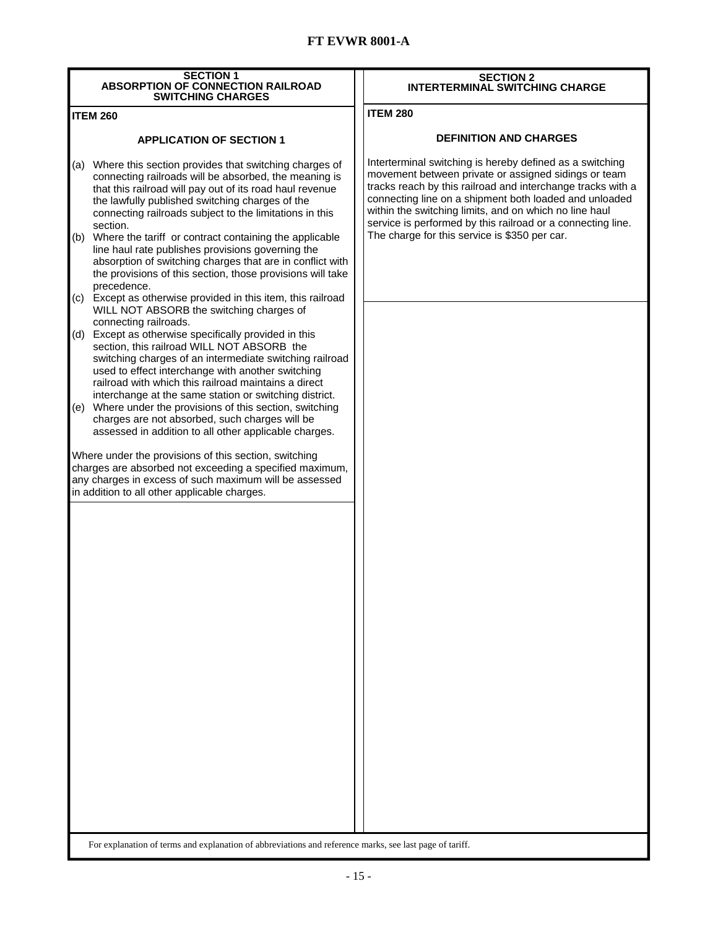| <b>SECTION 1</b><br><b>ABSORPTION OF CONNECTION RAILROAD</b><br><b>SWITCHING CHARGES</b>                                                                                                                                                                                                                                              | <b>SECTION 2</b><br><b>INTERTERMINAL SWITCHING CHARGE</b>                                                                                                                                                                                                                                                                                                          |  |  |  |  |  |
|---------------------------------------------------------------------------------------------------------------------------------------------------------------------------------------------------------------------------------------------------------------------------------------------------------------------------------------|--------------------------------------------------------------------------------------------------------------------------------------------------------------------------------------------------------------------------------------------------------------------------------------------------------------------------------------------------------------------|--|--|--|--|--|
| <b>ITEM 260</b>                                                                                                                                                                                                                                                                                                                       | <b>ITEM 280</b>                                                                                                                                                                                                                                                                                                                                                    |  |  |  |  |  |
| <b>APPLICATION OF SECTION 1</b>                                                                                                                                                                                                                                                                                                       | <b>DEFINITION AND CHARGES</b>                                                                                                                                                                                                                                                                                                                                      |  |  |  |  |  |
| Where this section provides that switching charges of<br>(a)<br>connecting railroads will be absorbed, the meaning is<br>that this railroad will pay out of its road haul revenue<br>the lawfully published switching charges of the<br>connecting railroads subject to the limitations in this<br>section.                           | Interterminal switching is hereby defined as a switching<br>movement between private or assigned sidings or team<br>tracks reach by this railroad and interchange tracks with a<br>connecting line on a shipment both loaded and unloaded<br>within the switching limits, and on which no line haul<br>service is performed by this railroad or a connecting line. |  |  |  |  |  |
| (b) Where the tariff or contract containing the applicable<br>line haul rate publishes provisions governing the<br>absorption of switching charges that are in conflict with<br>the provisions of this section, those provisions will take<br>precedence.                                                                             | The charge for this service is \$350 per car.                                                                                                                                                                                                                                                                                                                      |  |  |  |  |  |
| (c) Except as otherwise provided in this item, this railroad<br>WILL NOT ABSORB the switching charges of<br>connecting railroads.                                                                                                                                                                                                     |                                                                                                                                                                                                                                                                                                                                                                    |  |  |  |  |  |
| (d) Except as otherwise specifically provided in this<br>section, this railroad WILL NOT ABSORB the<br>switching charges of an intermediate switching railroad<br>used to effect interchange with another switching<br>railroad with which this railroad maintains a direct<br>interchange at the same station or switching district. |                                                                                                                                                                                                                                                                                                                                                                    |  |  |  |  |  |
| (e) Where under the provisions of this section, switching<br>charges are not absorbed, such charges will be<br>assessed in addition to all other applicable charges.                                                                                                                                                                  |                                                                                                                                                                                                                                                                                                                                                                    |  |  |  |  |  |
| Where under the provisions of this section, switching<br>charges are absorbed not exceeding a specified maximum,<br>any charges in excess of such maximum will be assessed<br>in addition to all other applicable charges.                                                                                                            |                                                                                                                                                                                                                                                                                                                                                                    |  |  |  |  |  |
| For explanation of terms and explanation of abbreviations and reference marks, see last page of tariff.                                                                                                                                                                                                                               |                                                                                                                                                                                                                                                                                                                                                                    |  |  |  |  |  |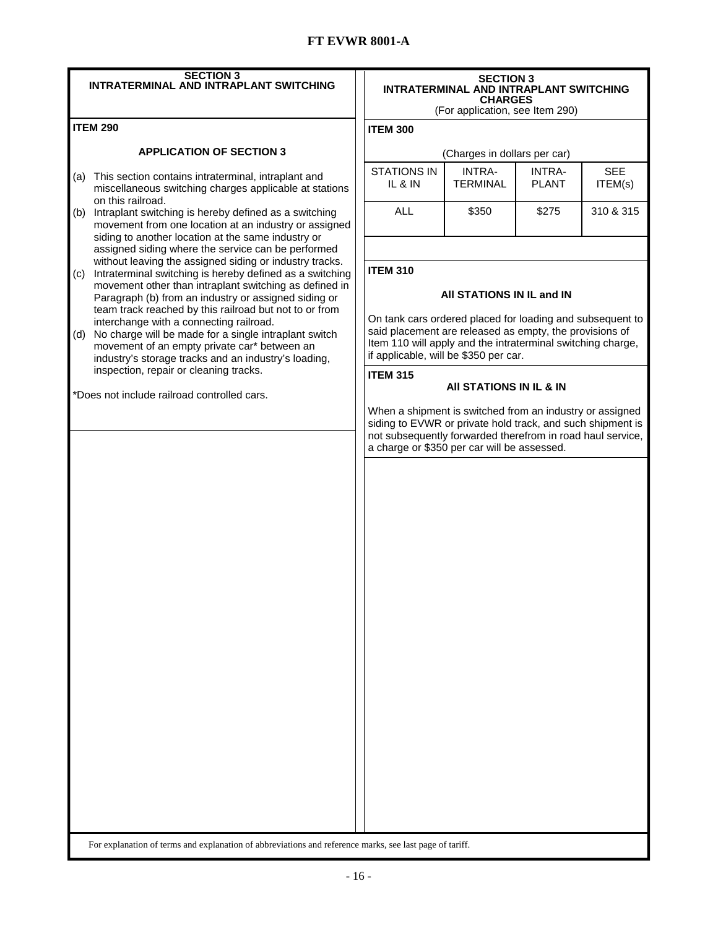| <b>SECTION 3</b><br><b>INTRATERMINAL AND INTRAPLANT SWITCHING</b>                                                                                                                                                                                                                                                                 | <b>SECTION 3</b><br><b>INTRATERMINAL AND INTRAPLANT SWITCHING</b><br><b>CHARGES</b><br>(For application, see Item 290)                                                                                                                                    |                              |                               |                       |  |
|-----------------------------------------------------------------------------------------------------------------------------------------------------------------------------------------------------------------------------------------------------------------------------------------------------------------------------------|-----------------------------------------------------------------------------------------------------------------------------------------------------------------------------------------------------------------------------------------------------------|------------------------------|-------------------------------|-----------------------|--|
| <b>ITEM 290</b>                                                                                                                                                                                                                                                                                                                   | <b>ITEM 300</b>                                                                                                                                                                                                                                           |                              |                               |                       |  |
| <b>APPLICATION OF SECTION 3</b>                                                                                                                                                                                                                                                                                                   |                                                                                                                                                                                                                                                           | (Charges in dollars per car) |                               |                       |  |
| This section contains intraterminal, intraplant and<br>(a)<br>miscellaneous switching charges applicable at stations                                                                                                                                                                                                              | <b>STATIONS IN</b><br>IL & IN                                                                                                                                                                                                                             | INTRA-<br><b>TERMINAL</b>    | <b>INTRA-</b><br><b>PLANT</b> | <b>SEE</b><br>ITEM(s) |  |
| on this railroad.<br>Intraplant switching is hereby defined as a switching<br>(b)<br>movement from one location at an industry or assigned<br>siding to another location at the same industry or                                                                                                                                  | <b>ALL</b>                                                                                                                                                                                                                                                | \$350                        | \$275                         | 310 & 315             |  |
| assigned siding where the service can be performed<br>without leaving the assigned siding or industry tracks.<br>Intraterminal switching is hereby defined as a switching<br>(c)<br>movement other than intraplant switching as defined in                                                                                        | <b>ITEM 310</b>                                                                                                                                                                                                                                           |                              |                               |                       |  |
| Paragraph (b) from an industry or assigned siding or<br>team track reached by this railroad but not to or from<br>interchange with a connecting railroad.<br>No charge will be made for a single intraplant switch<br>(d)<br>movement of an empty private car* between an<br>industry's storage tracks and an industry's loading, | All STATIONS IN IL and IN<br>On tank cars ordered placed for loading and subsequent to<br>said placement are released as empty, the provisions of<br>Item 110 will apply and the intraterminal switching charge,<br>if applicable, will be \$350 per car. |                              |                               |                       |  |
| inspection, repair or cleaning tracks.                                                                                                                                                                                                                                                                                            | <b>ITEM 315</b>                                                                                                                                                                                                                                           | AII STATIONS IN IL & IN      |                               |                       |  |
|                                                                                                                                                                                                                                                                                                                                   | When a shipment is switched from an industry or assigned<br>siding to EVWR or private hold track, and such shipment is<br>not subsequently forwarded therefrom in road haul service,<br>a charge or \$350 per car will be assessed.                       |                              |                               |                       |  |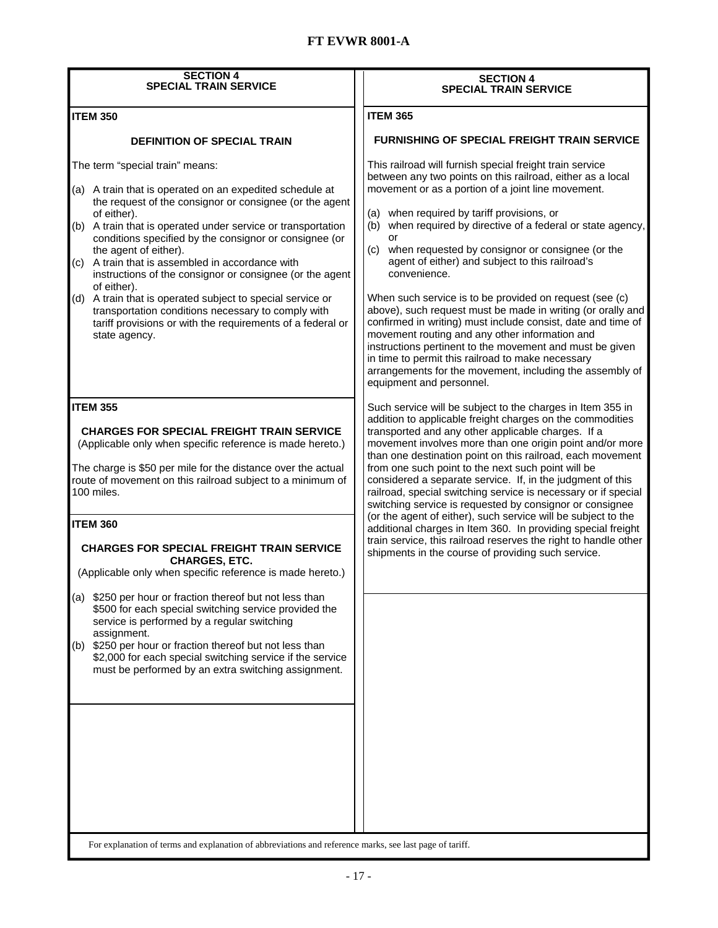| <b>SECTION 4</b><br><b>SPECIAL TRAIN SERVICE</b>                                                                                                                                                                                                                                                                                                                                                                                                                                                                                                                                                                                                           | <b>SECTION 4</b><br><b>SPECIAL TRAIN SERVICE</b>                                                                                                                                                                                                                                                                                                                                                                                                                                                                                                                                                                                                                                                                                                                                                                                                                                 |  |  |  |
|------------------------------------------------------------------------------------------------------------------------------------------------------------------------------------------------------------------------------------------------------------------------------------------------------------------------------------------------------------------------------------------------------------------------------------------------------------------------------------------------------------------------------------------------------------------------------------------------------------------------------------------------------------|----------------------------------------------------------------------------------------------------------------------------------------------------------------------------------------------------------------------------------------------------------------------------------------------------------------------------------------------------------------------------------------------------------------------------------------------------------------------------------------------------------------------------------------------------------------------------------------------------------------------------------------------------------------------------------------------------------------------------------------------------------------------------------------------------------------------------------------------------------------------------------|--|--|--|
| <b>ITEM 350</b>                                                                                                                                                                                                                                                                                                                                                                                                                                                                                                                                                                                                                                            | <b>ITEM 365</b>                                                                                                                                                                                                                                                                                                                                                                                                                                                                                                                                                                                                                                                                                                                                                                                                                                                                  |  |  |  |
| <b>DEFINITION OF SPECIAL TRAIN</b>                                                                                                                                                                                                                                                                                                                                                                                                                                                                                                                                                                                                                         | <b>FURNISHING OF SPECIAL FREIGHT TRAIN SERVICE</b>                                                                                                                                                                                                                                                                                                                                                                                                                                                                                                                                                                                                                                                                                                                                                                                                                               |  |  |  |
| The term "special train" means:<br>(a) A train that is operated on an expedited schedule at<br>the request of the consignor or consignee (or the agent<br>of either).<br>(b) A train that is operated under service or transportation<br>conditions specified by the consignor or consignee (or<br>the agent of either).<br>(c) A train that is assembled in accordance with<br>instructions of the consignor or consignee (or the agent<br>of either).<br>(d) A train that is operated subject to special service or<br>transportation conditions necessary to comply with<br>tariff provisions or with the requirements of a federal or<br>state agency. | This railroad will furnish special freight train service<br>between any two points on this railroad, either as a local<br>movement or as a portion of a joint line movement.<br>when required by tariff provisions, or<br>(a)<br>when required by directive of a federal or state agency,<br>(b)<br>(c) when requested by consignor or consignee (or the<br>agent of either) and subject to this railroad's<br>convenience.<br>When such service is to be provided on request (see (c)<br>above), such request must be made in writing (or orally and<br>confirmed in writing) must include consist, date and time of<br>movement routing and any other information and<br>instructions pertinent to the movement and must be given<br>in time to permit this railroad to make necessary<br>arrangements for the movement, including the assembly of<br>equipment and personnel. |  |  |  |
| <b>ITEM 355</b><br><b>CHARGES FOR SPECIAL FREIGHT TRAIN SERVICE</b><br>(Applicable only when specific reference is made hereto.)<br>The charge is \$50 per mile for the distance over the actual<br>route of movement on this railroad subject to a minimum of<br>100 miles.<br><b>ITEM 360</b><br><b>CHARGES FOR SPECIAL FREIGHT TRAIN SERVICE</b><br><b>CHARGES, ETC.</b><br>(Applicable only when specific reference is made hereto.)                                                                                                                                                                                                                   | Such service will be subject to the charges in Item 355 in<br>addition to applicable freight charges on the commodities<br>transported and any other applicable charges. If a<br>movement involves more than one origin point and/or more<br>than one destination point on this railroad, each movement<br>from one such point to the next such point will be<br>considered a separate service. If, in the judgment of this<br>railroad, special switching service is necessary or if special<br>switching service is requested by consignor or consignee<br>(or the agent of either), such service will be subject to the<br>additional charges in Item 360. In providing special freight<br>train service, this railroad reserves the right to handle other<br>shipments in the course of providing such service.                                                              |  |  |  |
| (a) \$250 per hour or fraction thereof but not less than<br>\$500 for each special switching service provided the<br>service is performed by a regular switching<br>assignment.<br>\$250 per hour or fraction thereof but not less than<br>(b)<br>\$2,000 for each special switching service if the service<br>must be performed by an extra switching assignment.<br>For explanation of terms and explanation of abbreviations and reference marks, see last page of tariff.                                                                                                                                                                              |                                                                                                                                                                                                                                                                                                                                                                                                                                                                                                                                                                                                                                                                                                                                                                                                                                                                                  |  |  |  |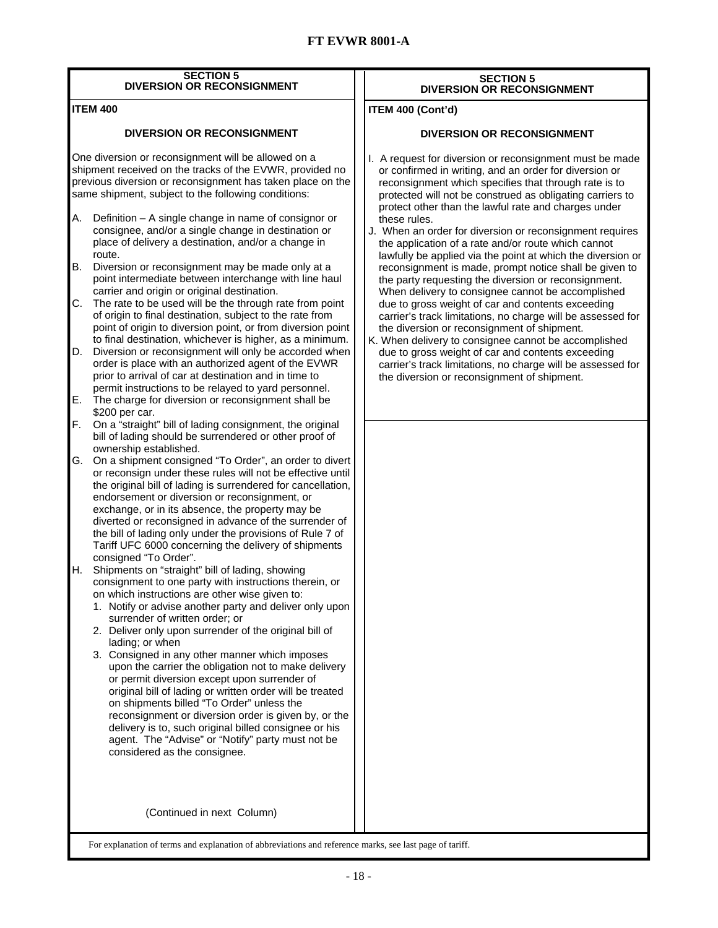#### **SECTION 5 DIVERSION OR RECONSIGNMENT**

#### **ITEM 400**

#### **DIVERSION OR RECONSIGNMENT**

One diversion or reconsignment will be allowed on a shipment received on the tracks of the EVWR, provided no previous diversion or reconsignment has taken place on the same shipment, subject to the following conditions:

- A. Definition A single change in name of consignor or consignee, and/or a single change in destination or place of delivery a destination, and/or a change in route.
- B. Diversion or reconsignment may be made only at a point intermediate between interchange with line haul carrier and origin or original destination.
- C. The rate to be used will be the through rate from point of origin to final destination, subject to the rate from point of origin to diversion point, or from diversion point to final destination, whichever is higher, as a minimum.
- D. Diversion or reconsignment will only be accorded when order is place with an authorized agent of the EVWR prior to arrival of car at destination and in time to permit instructions to be relayed to yard personnel.
- E. The charge for diversion or reconsignment shall be \$200 per car.
- F. On a "straight" bill of lading consignment, the original bill of lading should be surrendered or other proof of ownership established.
- G. On a shipment consigned "To Order", an order to divert or reconsign under these rules will not be effective until the original bill of lading is surrendered for cancellation, endorsement or diversion or reconsignment, or exchange, or in its absence, the property may be diverted or reconsigned in advance of the surrender of the bill of lading only under the provisions of Rule 7 of Tariff UFC 6000 concerning the delivery of shipments consigned "To Order".
- H. Shipments on "straight" bill of lading, showing consignment to one party with instructions therein, or on which instructions are other wise given to:
	- 1. Notify or advise another party and deliver only upon surrender of written order; or
	- 2. Deliver only upon surrender of the original bill of lading; or when
	- 3. Consigned in any other manner which imposes upon the carrier the obligation not to make delivery or permit diversion except upon surrender of original bill of lading or written order will be treated on shipments billed "To Order" unless the reconsignment or diversion order is given by, or the delivery is to, such original billed consignee or his agent. The "Advise" or "Notify" party must not be considered as the consignee.

(Continued in next Column)

#### **SECTION 5 DIVERSION OR RECONSIGNMENT**

### **ITEM 400 (Cont'd)**

#### **DIVERSION OR RECONSIGNMENT**

- I. A request for diversion or reconsignment must be made or confirmed in writing, and an order for diversion or reconsignment which specifies that through rate is to protected will not be construed as obligating carriers to protect other than the lawful rate and charges under these rules.
- J. When an order for diversion or reconsignment requires the application of a rate and/or route which cannot lawfully be applied via the point at which the diversion or reconsignment is made, prompt notice shall be given to the party requesting the diversion or reconsignment. When delivery to consignee cannot be accomplished due to gross weight of car and contents exceeding carrier's track limitations, no charge will be assessed for the diversion or reconsignment of shipment.
- K. When delivery to consignee cannot be accomplished due to gross weight of car and contents exceeding carrier's track limitations, no charge will be assessed for the diversion or reconsignment of shipment.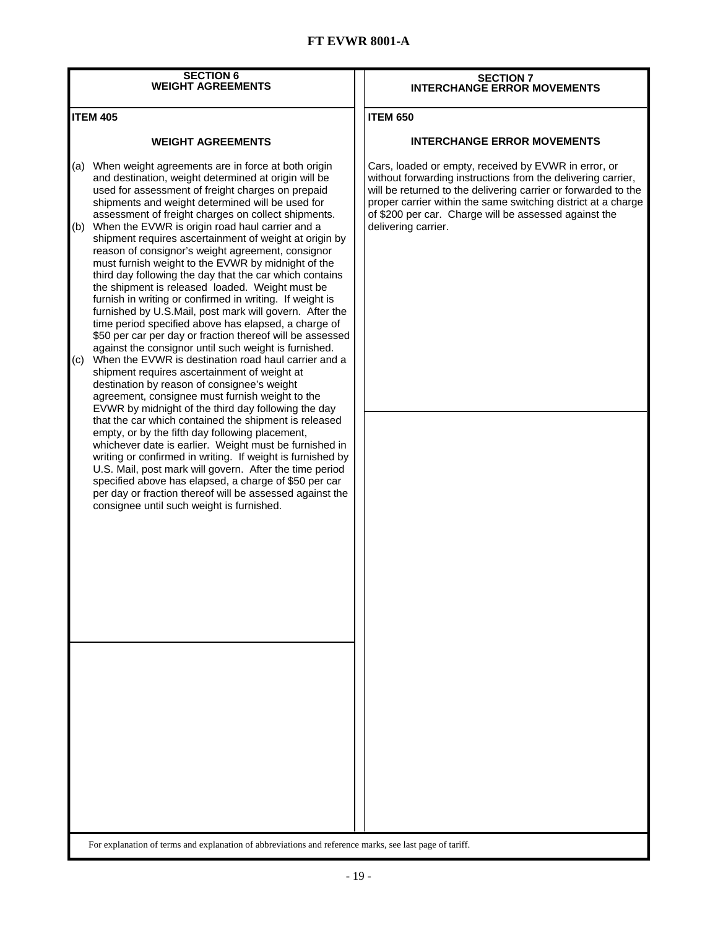| <b>SECTION 6</b><br><b>WEIGHT AGREEMENTS</b> |                                                                                                                                                                                                                                                                                                                                                                                                                                                                                                                                                                                                                                                                                                                                                            |  | <b>SECTION 7</b><br><b>INTERCHANGE ERROR MOVEMENTS</b>                                                                                                                                                                                                  |  |  |  |
|----------------------------------------------|------------------------------------------------------------------------------------------------------------------------------------------------------------------------------------------------------------------------------------------------------------------------------------------------------------------------------------------------------------------------------------------------------------------------------------------------------------------------------------------------------------------------------------------------------------------------------------------------------------------------------------------------------------------------------------------------------------------------------------------------------------|--|---------------------------------------------------------------------------------------------------------------------------------------------------------------------------------------------------------------------------------------------------------|--|--|--|
| <b>ITEM 405</b>                              |                                                                                                                                                                                                                                                                                                                                                                                                                                                                                                                                                                                                                                                                                                                                                            |  | <b>ITEM 650</b>                                                                                                                                                                                                                                         |  |  |  |
|                                              | <b>WEIGHT AGREEMENTS</b>                                                                                                                                                                                                                                                                                                                                                                                                                                                                                                                                                                                                                                                                                                                                   |  | <b>INTERCHANGE ERROR MOVEMENTS</b>                                                                                                                                                                                                                      |  |  |  |
|                                              | (a) When weight agreements are in force at both origin<br>and destination, weight determined at origin will be<br>used for assessment of freight charges on prepaid<br>shipments and weight determined will be used for                                                                                                                                                                                                                                                                                                                                                                                                                                                                                                                                    |  | Cars, loaded or empty, received by EVWR in error, or<br>without forwarding instructions from the delivering carrier,<br>will be returned to the delivering carrier or forwarded to the<br>proper carrier within the same switching district at a charge |  |  |  |
| (c)                                          | assessment of freight charges on collect shipments.<br>(b) When the EVWR is origin road haul carrier and a<br>shipment requires ascertainment of weight at origin by<br>reason of consignor's weight agreement, consignor<br>must furnish weight to the EVWR by midnight of the<br>third day following the day that the car which contains<br>the shipment is released loaded. Weight must be<br>furnish in writing or confirmed in writing. If weight is<br>furnished by U.S.Mail, post mark will govern. After the<br>time period specified above has elapsed, a charge of<br>\$50 per car per day or fraction thereof will be assessed<br>against the consignor until such weight is furnished.<br>When the EVWR is destination road haul carrier and a |  | of \$200 per car. Charge will be assessed against the<br>delivering carrier.                                                                                                                                                                            |  |  |  |
|                                              | shipment requires ascertainment of weight at<br>destination by reason of consignee's weight<br>agreement, consignee must furnish weight to the<br>EVWR by midnight of the third day following the day<br>that the car which contained the shipment is released<br>empty, or by the fifth day following placement,<br>whichever date is earlier. Weight must be furnished in<br>writing or confirmed in writing. If weight is furnished by<br>U.S. Mail, post mark will govern. After the time period<br>specified above has elapsed, a charge of \$50 per car<br>per day or fraction thereof will be assessed against the<br>consignee until such weight is furnished.                                                                                     |  |                                                                                                                                                                                                                                                         |  |  |  |
|                                              |                                                                                                                                                                                                                                                                                                                                                                                                                                                                                                                                                                                                                                                                                                                                                            |  |                                                                                                                                                                                                                                                         |  |  |  |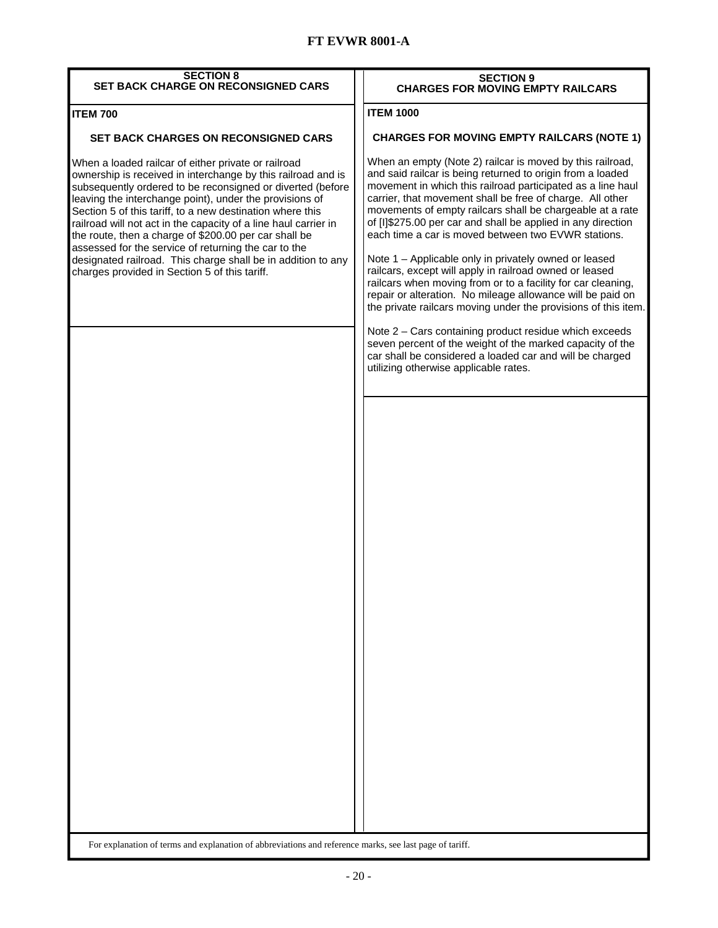| <b>SECTION 8</b><br><b>SET BACK CHARGE ON RECONSIGNED CARS</b>                                                                                                                                                                                                                                                                                                                                                                                                                                                                                                                                                 | <b>SECTION 9</b><br><b>CHARGES FOR MOVING EMPTY RAILCARS</b>                                                                                                                                                                                                                                                                                                                                                                                                                                                                                                                                                                                                                                                                                                |  |  |  |  |
|----------------------------------------------------------------------------------------------------------------------------------------------------------------------------------------------------------------------------------------------------------------------------------------------------------------------------------------------------------------------------------------------------------------------------------------------------------------------------------------------------------------------------------------------------------------------------------------------------------------|-------------------------------------------------------------------------------------------------------------------------------------------------------------------------------------------------------------------------------------------------------------------------------------------------------------------------------------------------------------------------------------------------------------------------------------------------------------------------------------------------------------------------------------------------------------------------------------------------------------------------------------------------------------------------------------------------------------------------------------------------------------|--|--|--|--|
| <b>ITEM 700</b>                                                                                                                                                                                                                                                                                                                                                                                                                                                                                                                                                                                                | <b>ITEM 1000</b>                                                                                                                                                                                                                                                                                                                                                                                                                                                                                                                                                                                                                                                                                                                                            |  |  |  |  |
| <b>SET BACK CHARGES ON RECONSIGNED CARS</b>                                                                                                                                                                                                                                                                                                                                                                                                                                                                                                                                                                    | <b>CHARGES FOR MOVING EMPTY RAILCARS (NOTE 1)</b>                                                                                                                                                                                                                                                                                                                                                                                                                                                                                                                                                                                                                                                                                                           |  |  |  |  |
| When a loaded railcar of either private or railroad<br>ownership is received in interchange by this railroad and is<br>subsequently ordered to be reconsigned or diverted (before<br>leaving the interchange point), under the provisions of<br>Section 5 of this tariff, to a new destination where this<br>railroad will not act in the capacity of a line haul carrier in<br>the route, then a charge of \$200.00 per car shall be<br>assessed for the service of returning the car to the<br>designated railroad. This charge shall be in addition to any<br>charges provided in Section 5 of this tariff. | When an empty (Note 2) railcar is moved by this railroad,<br>and said railcar is being returned to origin from a loaded<br>movement in which this railroad participated as a line haul<br>carrier, that movement shall be free of charge. All other<br>movements of empty railcars shall be chargeable at a rate<br>of [I]\$275.00 per car and shall be applied in any direction<br>each time a car is moved between two EVWR stations.<br>Note 1 - Applicable only in privately owned or leased<br>railcars, except will apply in railroad owned or leased<br>railcars when moving from or to a facility for car cleaning,<br>repair or alteration. No mileage allowance will be paid on<br>the private railcars moving under the provisions of this item. |  |  |  |  |
|                                                                                                                                                                                                                                                                                                                                                                                                                                                                                                                                                                                                                | Note 2 - Cars containing product residue which exceeds<br>seven percent of the weight of the marked capacity of the<br>car shall be considered a loaded car and will be charged<br>utilizing otherwise applicable rates.                                                                                                                                                                                                                                                                                                                                                                                                                                                                                                                                    |  |  |  |  |
|                                                                                                                                                                                                                                                                                                                                                                                                                                                                                                                                                                                                                |                                                                                                                                                                                                                                                                                                                                                                                                                                                                                                                                                                                                                                                                                                                                                             |  |  |  |  |
|                                                                                                                                                                                                                                                                                                                                                                                                                                                                                                                                                                                                                |                                                                                                                                                                                                                                                                                                                                                                                                                                                                                                                                                                                                                                                                                                                                                             |  |  |  |  |
|                                                                                                                                                                                                                                                                                                                                                                                                                                                                                                                                                                                                                |                                                                                                                                                                                                                                                                                                                                                                                                                                                                                                                                                                                                                                                                                                                                                             |  |  |  |  |
|                                                                                                                                                                                                                                                                                                                                                                                                                                                                                                                                                                                                                |                                                                                                                                                                                                                                                                                                                                                                                                                                                                                                                                                                                                                                                                                                                                                             |  |  |  |  |
|                                                                                                                                                                                                                                                                                                                                                                                                                                                                                                                                                                                                                |                                                                                                                                                                                                                                                                                                                                                                                                                                                                                                                                                                                                                                                                                                                                                             |  |  |  |  |
|                                                                                                                                                                                                                                                                                                                                                                                                                                                                                                                                                                                                                |                                                                                                                                                                                                                                                                                                                                                                                                                                                                                                                                                                                                                                                                                                                                                             |  |  |  |  |
| For explanation of terms and explanation of abbreviations and reference marks, see last page of tariff.                                                                                                                                                                                                                                                                                                                                                                                                                                                                                                        |                                                                                                                                                                                                                                                                                                                                                                                                                                                                                                                                                                                                                                                                                                                                                             |  |  |  |  |